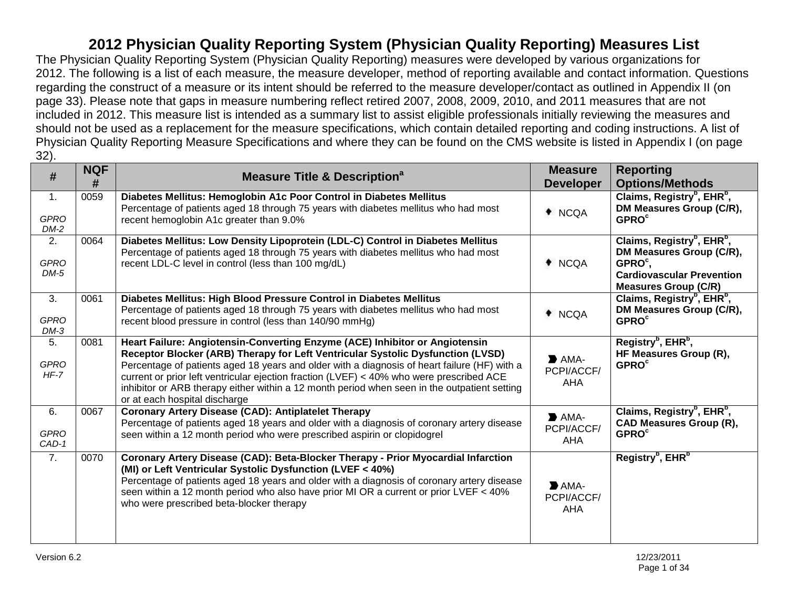The Physician Quality Reporting System (Physician Quality Reporting) measures were developed by various organizations for 2012. The following is a list of each measure, the measure developer, method of reporting available and contact information. Questions regarding the construct of a measure or its intent should be referred to the measure developer/contact as outlined in Appendix II (on page 33). Please note that gaps in measure numbering reflect retired 2007, 2008, 2009, 2010, and 2011 measures that are not included in 2012. This measure list is intended as a summary list to assist eligible professionals initially reviewing the measures and should not be used as a replacement for the measure specifications, which contain detailed reporting and coding instructions. A list of Physician Quality Reporting Measure Specifications and where they can be found on the CMS website is listed in Appendix I (on page 32).

| #                           | <b>NQF</b><br># | <b>Measure Title &amp; Description<sup>a</sup></b>                                                                                                                                                                                                                                                                                                                                                                                                                                          | <b>Measure</b><br><b>Developer</b>                     | <b>Reporting</b><br><b>Options/Methods</b>                                                                                                                               |
|-----------------------------|-----------------|---------------------------------------------------------------------------------------------------------------------------------------------------------------------------------------------------------------------------------------------------------------------------------------------------------------------------------------------------------------------------------------------------------------------------------------------------------------------------------------------|--------------------------------------------------------|--------------------------------------------------------------------------------------------------------------------------------------------------------------------------|
| 1.<br><b>GPRO</b><br>DM-2   | 0059            | Diabetes Mellitus: Hemoglobin A1c Poor Control in Diabetes Mellitus<br>Percentage of patients aged 18 through 75 years with diabetes mellitus who had most<br>recent hemoglobin A1c greater than 9.0%                                                                                                                                                                                                                                                                                       | + NCQA                                                 | Claims, Registry <sup>b</sup> , EHR <sup>b</sup> ,<br>DM Measures Group (C/R),<br><b>GPRO<sup>c</sup></b>                                                                |
| 2.<br><b>GPRO</b><br>$DM-5$ | 0064            | Diabetes Mellitus: Low Density Lipoprotein (LDL-C) Control in Diabetes Mellitus<br>Percentage of patients aged 18 through 75 years with diabetes mellitus who had most<br>recent LDL-C level in control (less than 100 mg/dL)                                                                                                                                                                                                                                                               | $*$ NCQA                                               | Claims, Registry <sup>b</sup> , EHR <sup>b</sup> ,<br>DM Measures Group (C/R),<br>GPRO <sup>c</sup> ,<br><b>Cardiovascular Prevention</b><br><b>Measures Group (C/R)</b> |
| 3.<br><b>GPRO</b><br>$DM-3$ | 0061            | Diabetes Mellitus: High Blood Pressure Control in Diabetes Mellitus<br>Percentage of patients aged 18 through 75 years with diabetes mellitus who had most<br>recent blood pressure in control (less than 140/90 mmHg)                                                                                                                                                                                                                                                                      | + NCQA                                                 | Claims, Registry <sup>b</sup> , EHR <sup>b</sup> ,<br>DM Measures Group (C/R),<br><b>GPRO</b> <sup>c</sup>                                                               |
| 5.<br><b>GPRO</b><br>$HF-7$ | 0081            | Heart Failure: Angiotensin-Converting Enzyme (ACE) Inhibitor or Angiotensin<br>Receptor Blocker (ARB) Therapy for Left Ventricular Systolic Dysfunction (LVSD)<br>Percentage of patients aged 18 years and older with a diagnosis of heart failure (HF) with a<br>current or prior left ventricular ejection fraction (LVEF) < 40% who were prescribed ACE<br>inhibitor or ARB therapy either within a 12 month period when seen in the outpatient setting<br>or at each hospital discharge | $\blacktriangleright$ AMA-<br>PCPI/ACCF/<br><b>AHA</b> | Registry <sup>b</sup> , EHR <sup>b</sup> ,<br>HF Measures Group (R),<br><b>GPRO<sup>c</sup></b>                                                                          |
| 6.<br><b>GPRO</b><br>CAD-1  | 0067            | <b>Coronary Artery Disease (CAD): Antiplatelet Therapy</b><br>Percentage of patients aged 18 years and older with a diagnosis of coronary artery disease<br>seen within a 12 month period who were prescribed aspirin or clopidogrel                                                                                                                                                                                                                                                        | $\blacktriangleright$ AMA-<br>PCPI/ACCF/<br>AHA        | Claims, Registry <sup>b</sup> , EHR <sup>b</sup> ,<br><b>CAD Measures Group (R),</b><br><b>GPRO<sup>c</sup></b>                                                          |
| $\overline{7}$ .            | 0070            | Coronary Artery Disease (CAD): Beta-Blocker Therapy - Prior Myocardial Infarction<br>(MI) or Left Ventricular Systolic Dysfunction (LVEF < 40%)<br>Percentage of patients aged 18 years and older with a diagnosis of coronary artery disease<br>seen within a 12 month period who also have prior MI OR a current or prior LVEF < 40%<br>who were prescribed beta-blocker therapy                                                                                                          | $\blacktriangleright$ AMA-<br>PCPI/ACCF/<br><b>AHA</b> | Registry <sup>b</sup> , EHR <sup>b</sup>                                                                                                                                 |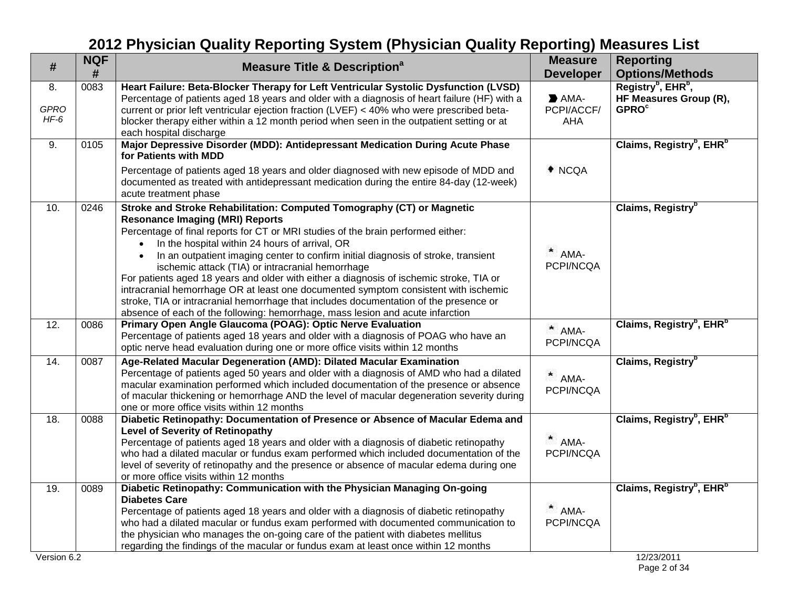| #                           | <b>NQF</b><br># | <b>Measure Title &amp; Description<sup>a</sup></b>                                                                                                                                                                                                                                                                                                                                                                                                                                                                                                                                                                                                                                                                                                                                                 | <b>Measure</b><br><b>Developer</b>              | <b>Reporting</b><br><b>Options/Methods</b>                                                      |
|-----------------------------|-----------------|----------------------------------------------------------------------------------------------------------------------------------------------------------------------------------------------------------------------------------------------------------------------------------------------------------------------------------------------------------------------------------------------------------------------------------------------------------------------------------------------------------------------------------------------------------------------------------------------------------------------------------------------------------------------------------------------------------------------------------------------------------------------------------------------------|-------------------------------------------------|-------------------------------------------------------------------------------------------------|
| 8.<br><b>GPRO</b><br>$HF-6$ | 0083            | Heart Failure: Beta-Blocker Therapy for Left Ventricular Systolic Dysfunction (LVSD)<br>Percentage of patients aged 18 years and older with a diagnosis of heart failure (HF) with a<br>current or prior left ventricular ejection fraction (LVEF) < 40% who were prescribed beta-<br>blocker therapy either within a 12 month period when seen in the outpatient setting or at<br>each hospital discharge                                                                                                                                                                                                                                                                                                                                                                                         | $\blacktriangleright$ AMA-<br>PCPI/ACCF/<br>AHA | Registry <sup>b</sup> , EHR <sup>b</sup> ,<br>HF Measures Group (R),<br><b>GPRO<sup>c</sup></b> |
| 9.                          | 0105            | Major Depressive Disorder (MDD): Antidepressant Medication During Acute Phase<br>for Patients with MDD<br>Percentage of patients aged 18 years and older diagnosed with new episode of MDD and<br>documented as treated with antidepressant medication during the entire 84-day (12-week)                                                                                                                                                                                                                                                                                                                                                                                                                                                                                                          | ♦ NCQA                                          | Claims, Registry <sup>b</sup> , EHR <sup>b</sup>                                                |
| 10.                         | 0246            | acute treatment phase<br>Stroke and Stroke Rehabilitation: Computed Tomography (CT) or Magnetic<br><b>Resonance Imaging (MRI) Reports</b><br>Percentage of final reports for CT or MRI studies of the brain performed either:<br>In the hospital within 24 hours of arrival, OR<br>In an outpatient imaging center to confirm initial diagnosis of stroke, transient<br>$\bullet$<br>ischemic attack (TIA) or intracranial hemorrhage<br>For patients aged 18 years and older with either a diagnosis of ischemic stroke, TIA or<br>intracranial hemorrhage OR at least one documented symptom consistent with ischemic<br>stroke, TIA or intracranial hemorrhage that includes documentation of the presence or<br>absence of each of the following: hemorrhage, mass lesion and acute infarction | $*$ AMA-<br>PCPI/NCQA                           | Claims, Registry <sup>b</sup>                                                                   |
| 12.                         | 0086            | Primary Open Angle Glaucoma (POAG): Optic Nerve Evaluation<br>Percentage of patients aged 18 years and older with a diagnosis of POAG who have an<br>optic nerve head evaluation during one or more office visits within 12 months                                                                                                                                                                                                                                                                                                                                                                                                                                                                                                                                                                 | $*$ AMA-<br>PCPI/NCQA                           | Claims, Registry <sup>b</sup> , EHR <sup>b</sup>                                                |
| 14.                         | 0087            | Age-Related Macular Degeneration (AMD): Dilated Macular Examination<br>Percentage of patients aged 50 years and older with a diagnosis of AMD who had a dilated<br>macular examination performed which included documentation of the presence or absence<br>of macular thickening or hemorrhage AND the level of macular degeneration severity during<br>one or more office visits within 12 months                                                                                                                                                                                                                                                                                                                                                                                                | AMA-<br>PCPI/NCQA                               | Claims, Registry <sup>b</sup>                                                                   |
| 18.                         | 0088            | Diabetic Retinopathy: Documentation of Presence or Absence of Macular Edema and<br><b>Level of Severity of Retinopathy</b><br>Percentage of patients aged 18 years and older with a diagnosis of diabetic retinopathy<br>who had a dilated macular or fundus exam performed which included documentation of the<br>level of severity of retinopathy and the presence or absence of macular edema during one<br>or more office visits within 12 months                                                                                                                                                                                                                                                                                                                                              | $*$ AMA-<br>PCPI/NCQA                           | Claims, Registry <sup>b</sup> , EHR <sup>b</sup>                                                |
| 19.<br>Version 6.2          | 0089            | Diabetic Retinopathy: Communication with the Physician Managing On-going<br><b>Diabetes Care</b><br>Percentage of patients aged 18 years and older with a diagnosis of diabetic retinopathy<br>who had a dilated macular or fundus exam performed with documented communication to<br>the physician who manages the on-going care of the patient with diabetes mellitus<br>regarding the findings of the macular or fundus exam at least once within 12 months                                                                                                                                                                                                                                                                                                                                     | $*$ AMA-<br>PCPI/NCQA                           | Claims, Registry <sup>b</sup> , EHR <sup>b</sup><br>12/23/2011                                  |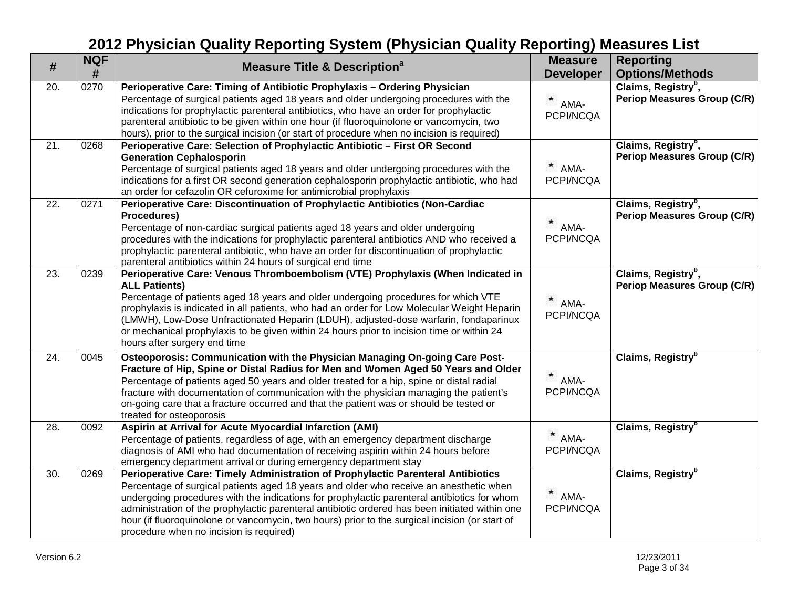| #   | <b>NQF</b><br># | <b>Measure Title &amp; Description<sup>a</sup></b>                                                                                                                                                                                                                                                                                                                                                                                                                                                                       | <b>Measure</b><br><b>Developer</b> | <b>Reporting</b><br><b>Options/Methods</b>                            |
|-----|-----------------|--------------------------------------------------------------------------------------------------------------------------------------------------------------------------------------------------------------------------------------------------------------------------------------------------------------------------------------------------------------------------------------------------------------------------------------------------------------------------------------------------------------------------|------------------------------------|-----------------------------------------------------------------------|
| 20. | 0270            | Perioperative Care: Timing of Antibiotic Prophylaxis - Ordering Physician<br>Percentage of surgical patients aged 18 years and older undergoing procedures with the<br>indications for prophylactic parenteral antibiotics, who have an order for prophylactic<br>parenteral antibiotic to be given within one hour (if fluoroquinolone or vancomycin, two<br>hours), prior to the surgical incision (or start of procedure when no incision is required)                                                                | ×<br>AMA-<br>PCPI/NCQA             | Claims, Registry <sup>b</sup> ,<br><b>Periop Measures Group (C/R)</b> |
| 21. | 0268            | Perioperative Care: Selection of Prophylactic Antibiotic - First OR Second<br><b>Generation Cephalosporin</b><br>Percentage of surgical patients aged 18 years and older undergoing procedures with the<br>indications for a first OR second generation cephalosporin prophylactic antibiotic, who had<br>an order for cefazolin OR cefuroxime for antimicrobial prophylaxis                                                                                                                                             | $*$ AMA-<br>PCPI/NCQA              | Claims, Registry <sup>b</sup> ,<br><b>Periop Measures Group (C/R)</b> |
| 22. | 0271            | Perioperative Care: Discontinuation of Prophylactic Antibiotics (Non-Cardiac<br>Procedures)<br>Percentage of non-cardiac surgical patients aged 18 years and older undergoing<br>procedures with the indications for prophylactic parenteral antibiotics AND who received a<br>prophylactic parenteral antibiotic, who have an order for discontinuation of prophylactic<br>parenteral antibiotics within 24 hours of surgical end time                                                                                  | AMA-<br>PCPI/NCQA                  | Claims, Registry <sup>b</sup> ,<br>Periop Measures Group (C/R)        |
| 23. | 0239            | Perioperative Care: Venous Thromboembolism (VTE) Prophylaxis (When Indicated in<br><b>ALL Patients)</b><br>Percentage of patients aged 18 years and older undergoing procedures for which VTE<br>prophylaxis is indicated in all patients, who had an order for Low Molecular Weight Heparin<br>(LMWH), Low-Dose Unfractionated Heparin (LDUH), adjusted-dose warfarin, fondaparinux<br>or mechanical prophylaxis to be given within 24 hours prior to incision time or within 24<br>hours after surgery end time        | $*$ AMA-<br>PCPI/NCQA              | Claims, Registry <sup>b</sup> ,<br><b>Periop Measures Group (C/R)</b> |
| 24. | 0045            | Osteoporosis: Communication with the Physician Managing On-going Care Post-<br>Fracture of Hip, Spine or Distal Radius for Men and Women Aged 50 Years and Older<br>Percentage of patients aged 50 years and older treated for a hip, spine or distal radial<br>fracture with documentation of communication with the physician managing the patient's<br>on-going care that a fracture occurred and that the patient was or should be tested or<br>treated for osteoporosis                                             | AMA-<br>PCPI/NCQA                  | Claims, Registry <sup>b</sup>                                         |
| 28. | 0092            | Aspirin at Arrival for Acute Myocardial Infarction (AMI)<br>Percentage of patients, regardless of age, with an emergency department discharge<br>diagnosis of AMI who had documentation of receiving aspirin within 24 hours before<br>emergency department arrival or during emergency department stay                                                                                                                                                                                                                  | $*$ AMA-<br>PCPI/NCQA              | Claims, Registry <sup>b</sup>                                         |
| 30. | 0269            | Perioperative Care: Timely Administration of Prophylactic Parenteral Antibiotics<br>Percentage of surgical patients aged 18 years and older who receive an anesthetic when<br>undergoing procedures with the indications for prophylactic parenteral antibiotics for whom<br>administration of the prophylactic parenteral antibiotic ordered has been initiated within one<br>hour (if fluoroquinolone or vancomycin, two hours) prior to the surgical incision (or start of<br>procedure when no incision is required) | $*$ AMA-<br>PCPI/NCQA              | Claims, Registry <sup>b</sup>                                         |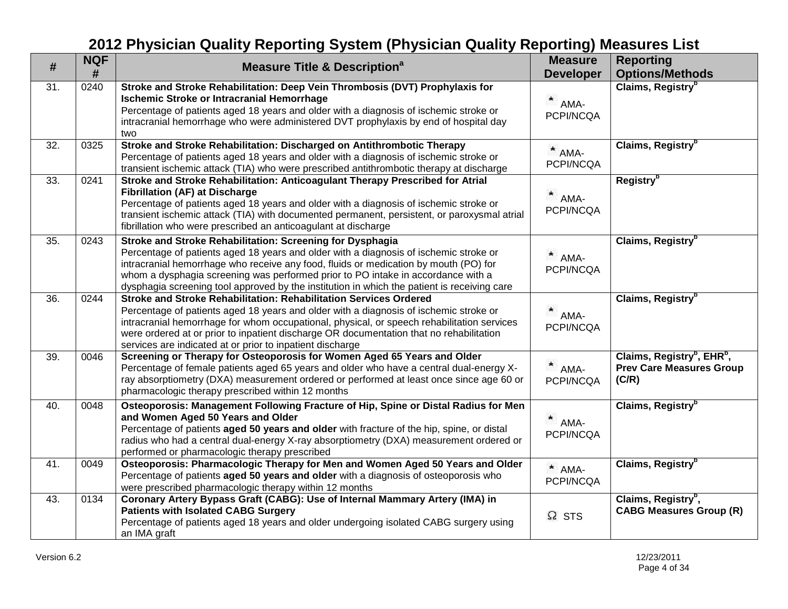| $\#$              | <b>NQF</b><br># | <b>Measure Title &amp; Description<sup>a</sup></b>                                                                                                                                                                                                                                                                                                                                                                            | <b>Measure</b><br><b>Developer</b> | <b>Reporting</b><br><b>Options/Methods</b>                                                     |
|-------------------|-----------------|-------------------------------------------------------------------------------------------------------------------------------------------------------------------------------------------------------------------------------------------------------------------------------------------------------------------------------------------------------------------------------------------------------------------------------|------------------------------------|------------------------------------------------------------------------------------------------|
| $\overline{31}$ . | 0240            | Stroke and Stroke Rehabilitation: Deep Vein Thrombosis (DVT) Prophylaxis for<br><b>Ischemic Stroke or Intracranial Hemorrhage</b><br>Percentage of patients aged 18 years and older with a diagnosis of ischemic stroke or<br>intracranial hemorrhage who were administered DVT prophylaxis by end of hospital day<br>two                                                                                                     | ×<br>AMA-<br>PCPI/NCQA             | Claims, Registry <sup>b</sup>                                                                  |
| 32.               | 0325            | Stroke and Stroke Rehabilitation: Discharged on Antithrombotic Therapy<br>Percentage of patients aged 18 years and older with a diagnosis of ischemic stroke or<br>transient ischemic attack (TIA) who were prescribed antithrombotic therapy at discharge                                                                                                                                                                    | $*$ AMA-<br>PCPI/NCQA              | Claims, Registry <sup>b</sup>                                                                  |
| 33.               | 0241            | Stroke and Stroke Rehabilitation: Anticoagulant Therapy Prescribed for Atrial<br><b>Fibrillation (AF) at Discharge</b><br>Percentage of patients aged 18 years and older with a diagnosis of ischemic stroke or<br>transient ischemic attack (TIA) with documented permanent, persistent, or paroxysmal atrial<br>fibrillation who were prescribed an anticoagulant at discharge                                              | $*$ AMA-<br>PCPI/NCQA              | Registry <sup>b</sup>                                                                          |
| 35.               | 0243            | Stroke and Stroke Rehabilitation: Screening for Dysphagia<br>Percentage of patients aged 18 years and older with a diagnosis of ischemic stroke or<br>intracranial hemorrhage who receive any food, fluids or medication by mouth (PO) for<br>whom a dysphagia screening was performed prior to PO intake in accordance with a<br>dysphagia screening tool approved by the institution in which the patient is receiving care | $*$ AMA-<br>PCPI/NCQA              | Claims, Registry <sup>b</sup>                                                                  |
| 36.               | 0244            | Stroke and Stroke Rehabilitation: Rehabilitation Services Ordered<br>Percentage of patients aged 18 years and older with a diagnosis of ischemic stroke or<br>intracranial hemorrhage for whom occupational, physical, or speech rehabilitation services<br>were ordered at or prior to inpatient discharge OR documentation that no rehabilitation<br>services are indicated at or prior to inpatient discharge              | $*$ AMA-<br>PCPI/NCQA              | Claims, Registry <sup>b</sup>                                                                  |
| 39.               | 0046            | Screening or Therapy for Osteoporosis for Women Aged 65 Years and Older<br>Percentage of female patients aged 65 years and older who have a central dual-energy X-<br>ray absorptiometry (DXA) measurement ordered or performed at least once since age 60 or<br>pharmacologic therapy prescribed within 12 months                                                                                                            | $*$ AMA-<br>PCPI/NCQA              | Claims, Registry <sup>b</sup> , EHR <sup>b</sup> ,<br><b>Prev Care Measures Group</b><br>(C/R) |
| 40.               | 0048            | Osteoporosis: Management Following Fracture of Hip, Spine or Distal Radius for Men<br>and Women Aged 50 Years and Older<br>Percentage of patients aged 50 years and older with fracture of the hip, spine, or distal<br>radius who had a central dual-energy X-ray absorptiometry (DXA) measurement ordered or<br>performed or pharmacologic therapy prescribed                                                               | AMA-<br>PCPI/NCQA                  | Claims, Registry <sup>b</sup>                                                                  |
| 41.               | 0049            | Osteoporosis: Pharmacologic Therapy for Men and Women Aged 50 Years and Older<br>Percentage of patients aged 50 years and older with a diagnosis of osteoporosis who<br>were prescribed pharmacologic therapy within 12 months                                                                                                                                                                                                | * AMA-<br>PCPI/NCQA                | Claims, Registry <sup>b</sup>                                                                  |
| 43.               | 0134            | Coronary Artery Bypass Graft (CABG): Use of Internal Mammary Artery (IMA) in<br><b>Patients with Isolated CABG Surgery</b><br>Percentage of patients aged 18 years and older undergoing isolated CABG surgery using<br>an IMA graft                                                                                                                                                                                           | $\Omega$ STS                       | Claims, Registry <sup>b</sup> ,<br><b>CABG Measures Group (R)</b>                              |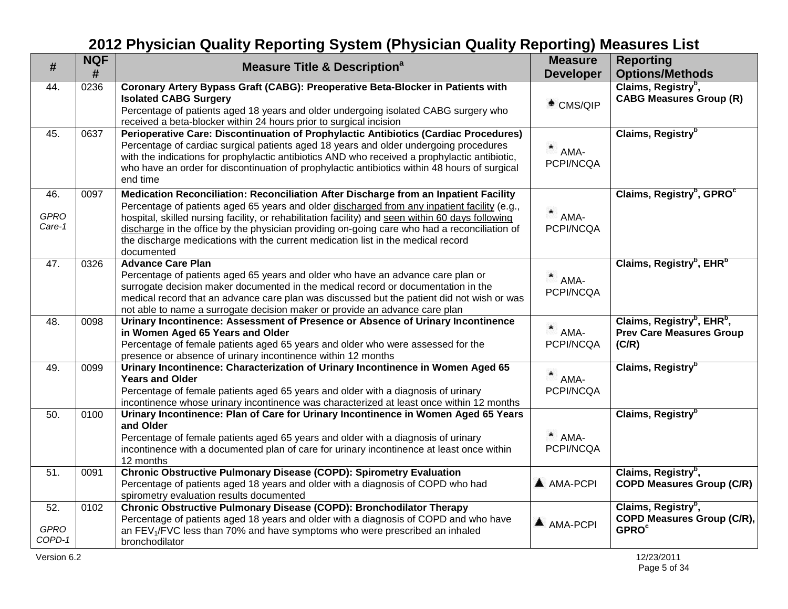| #                            | <b>NQF</b><br># | <b>Measure Title &amp; Description<sup>a</sup></b>                                                                                                                                                                                                                                                                                                                                                                                                                                          | <b>Measure</b><br><b>Developer</b> | <b>Reporting</b><br><b>Options/Methods</b>                                                     |
|------------------------------|-----------------|---------------------------------------------------------------------------------------------------------------------------------------------------------------------------------------------------------------------------------------------------------------------------------------------------------------------------------------------------------------------------------------------------------------------------------------------------------------------------------------------|------------------------------------|------------------------------------------------------------------------------------------------|
| 44.                          | 0236            | Coronary Artery Bypass Graft (CABG): Preoperative Beta-Blocker in Patients with<br><b>Isolated CABG Surgery</b><br>Percentage of patients aged 18 years and older undergoing isolated CABG surgery who<br>received a beta-blocker within 24 hours prior to surgical incision                                                                                                                                                                                                                | $*$ CMS/QIP                        | Claims, Registry <sup>b</sup> ,<br><b>CABG Measures Group (R)</b>                              |
| 45.                          | 0637            | Perioperative Care: Discontinuation of Prophylactic Antibiotics (Cardiac Procedures)<br>Percentage of cardiac surgical patients aged 18 years and older undergoing procedures<br>with the indications for prophylactic antibiotics AND who received a prophylactic antibiotic,<br>who have an order for discontinuation of prophylactic antibiotics within 48 hours of surgical<br>end time                                                                                                 | $*$ AMA-<br>PCPI/NCQA              | Claims, Registry <sup>b</sup>                                                                  |
| 46.<br><b>GPRO</b><br>Care-1 | 0097            | Medication Reconciliation: Reconciliation After Discharge from an Inpatient Facility<br>Percentage of patients aged 65 years and older discharged from any inpatient facility (e.g.,<br>hospital, skilled nursing facility, or rehabilitation facility) and seen within 60 days following<br>discharge in the office by the physician providing on-going care who had a reconciliation of<br>the discharge medications with the current medication list in the medical record<br>documented | $*$ AMA-<br>PCPI/NCQA              | Claims, Registry <sup>b</sup> , GPRO <sup>c</sup>                                              |
| 47.                          | 0326            | <b>Advance Care Plan</b><br>Percentage of patients aged 65 years and older who have an advance care plan or<br>surrogate decision maker documented in the medical record or documentation in the<br>medical record that an advance care plan was discussed but the patient did not wish or was<br>not able to name a surrogate decision maker or provide an advance care plan                                                                                                               | $*$ AMA-<br>PCPI/NCQA              | Claims, Registry <sup>b</sup> , EHR <sup>b</sup>                                               |
| 48.                          | 0098            | Urinary Incontinence: Assessment of Presence or Absence of Urinary Incontinence<br>in Women Aged 65 Years and Older<br>Percentage of female patients aged 65 years and older who were assessed for the<br>presence or absence of urinary incontinence within 12 months                                                                                                                                                                                                                      | $*$ AMA-<br>PCPI/NCQA              | Claims, Registry <sup>b</sup> , EHR <sup>b</sup> ,<br><b>Prev Care Measures Group</b><br>(C/R) |
| 49.                          | 0099            | Urinary Incontinence: Characterization of Urinary Incontinence in Women Aged 65<br><b>Years and Older</b><br>Percentage of female patients aged 65 years and older with a diagnosis of urinary<br>incontinence whose urinary incontinence was characterized at least once within 12 months                                                                                                                                                                                                  | $*$ AMA-<br>PCPI/NCQA              | Claims, Registry <sup>b</sup>                                                                  |
| 50.                          | 0100            | Urinary Incontinence: Plan of Care for Urinary Incontinence in Women Aged 65 Years<br>and Older<br>Percentage of female patients aged 65 years and older with a diagnosis of urinary<br>incontinence with a documented plan of care for urinary incontinence at least once within<br>12 months                                                                                                                                                                                              | $*$ AMA-<br>PCPI/NCQA              | Claims, Registry <sup>b</sup>                                                                  |
| $\overline{51}$              | 0091            | Chronic Obstructive Pulmonary Disease (COPD): Spirometry Evaluation<br>Percentage of patients aged 18 years and older with a diagnosis of COPD who had<br>spirometry evaluation results documented                                                                                                                                                                                                                                                                                          | A AMA-PCPI                         | Claims, Registry <sup>b</sup> ,<br><b>COPD Measures Group (C/R)</b>                            |
| 52.<br><b>GPRO</b><br>COPD-1 | 0102            | Chronic Obstructive Pulmonary Disease (COPD): Bronchodilator Therapy<br>Percentage of patients aged 18 years and older with a diagnosis of COPD and who have<br>an FEV <sub>1</sub> /FVC less than 70% and have symptoms who were prescribed an inhaled<br>bronchodilator                                                                                                                                                                                                                   | A AMA-PCPI                         | Claims, Registry <sup>b</sup> ,<br>COPD Measures Group (C/R),<br><b>GPRO<sup>c</sup></b>       |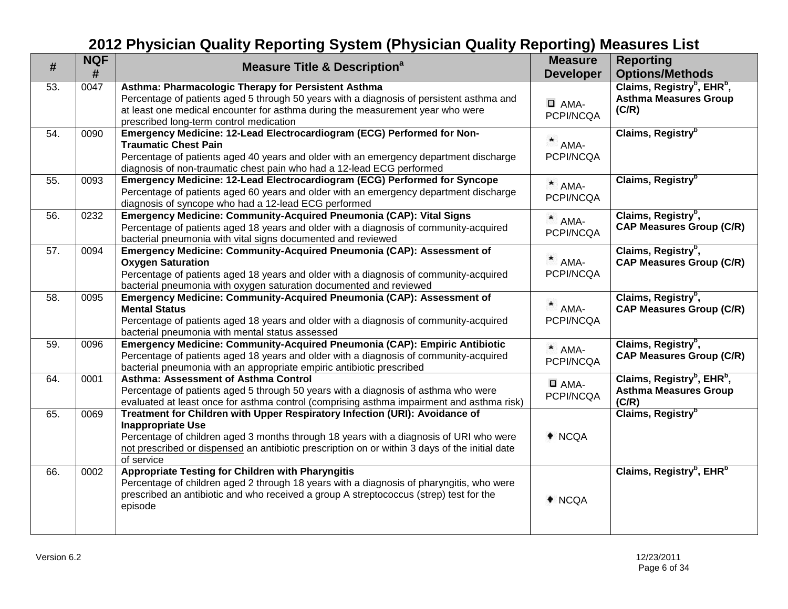| #   | <b>NQF</b><br># | <b>Measure Title &amp; Description<sup>a</sup></b>                                                                                                                                                                                                                                                                | <b>Measure</b><br><b>Developer</b> | <b>Reporting</b><br><b>Options/Methods</b>                                                  |
|-----|-----------------|-------------------------------------------------------------------------------------------------------------------------------------------------------------------------------------------------------------------------------------------------------------------------------------------------------------------|------------------------------------|---------------------------------------------------------------------------------------------|
| 53. | 0047            | Asthma: Pharmacologic Therapy for Persistent Asthma<br>Percentage of patients aged 5 through 50 years with a diagnosis of persistent asthma and<br>at least one medical encounter for asthma during the measurement year who were<br>prescribed long-term control medication                                      | $\Box$ AMA-<br>PCPI/NCQA           | Claims, Registry <sup>b</sup> , EHR <sup>b</sup> ,<br><b>Asthma Measures Group</b><br>(C/R) |
| 54. | 0090            | Emergency Medicine: 12-Lead Electrocardiogram (ECG) Performed for Non-<br><b>Traumatic Chest Pain</b><br>Percentage of patients aged 40 years and older with an emergency department discharge<br>diagnosis of non-traumatic chest pain who had a 12-lead ECG performed                                           | $*$ AMA-<br>PCPI/NCQA              | Claims, Registry <sup>b</sup>                                                               |
| 55. | 0093            | Emergency Medicine: 12-Lead Electrocardiogram (ECG) Performed for Syncope<br>Percentage of patients aged 60 years and older with an emergency department discharge<br>diagnosis of syncope who had a 12-lead ECG performed                                                                                        | $*$ AMA-<br>PCPI/NCQA              | Claims, Registry <sup>b</sup>                                                               |
| 56. | 0232            | Emergency Medicine: Community-Acquired Pneumonia (CAP): Vital Signs<br>Percentage of patients aged 18 years and older with a diagnosis of community-acquired<br>bacterial pneumonia with vital signs documented and reviewed                                                                                      | $*$ AMA-<br>PCPI/NCQA              | Claims, Registry <sup>b</sup> ,<br><b>CAP Measures Group (C/R)</b>                          |
| 57. | 0094            | Emergency Medicine: Community-Acquired Pneumonia (CAP): Assessment of<br><b>Oxygen Saturation</b><br>Percentage of patients aged 18 years and older with a diagnosis of community-acquired<br>bacterial pneumonia with oxygen saturation documented and reviewed                                                  | $\star$<br>AMA-<br>PCPI/NCQA       | Claims, Registry <sup>b</sup> ,<br><b>CAP Measures Group (C/R)</b>                          |
| 58. | 0095            | Emergency Medicine: Community-Acquired Pneumonia (CAP): Assessment of<br><b>Mental Status</b><br>Percentage of patients aged 18 years and older with a diagnosis of community-acquired<br>bacterial pneumonia with mental status assessed                                                                         | AMA-<br>PCPI/NCQA                  | Claims, Registry <sup>b</sup> ,<br><b>CAP Measures Group (C/R)</b>                          |
| 59. | 0096            | Emergency Medicine: Community-Acquired Pneumonia (CAP): Empiric Antibiotic<br>Percentage of patients aged 18 years and older with a diagnosis of community-acquired<br>bacterial pneumonia with an appropriate empiric antibiotic prescribed                                                                      | * AMA-<br>PCPI/NCQA                | Claims, Registry <sup>b</sup> ,<br><b>CAP Measures Group (C/R)</b>                          |
| 64. | 0001            | <b>Asthma: Assessment of Asthma Control</b><br>Percentage of patients aged 5 through 50 years with a diagnosis of asthma who were<br>evaluated at least once for asthma control (comprising asthma impairment and asthma risk)                                                                                    | $\square$ AMA-<br>PCPI/NCQA        | Claims, Registry <sup>b</sup> , EHR <sup>b</sup> ,<br><b>Asthma Measures Group</b><br>(C/R) |
| 65. | 0069            | Treatment for Children with Upper Respiratory Infection (URI): Avoidance of<br><b>Inappropriate Use</b><br>Percentage of children aged 3 months through 18 years with a diagnosis of URI who were<br>not prescribed or dispensed an antibiotic prescription on or within 3 days of the initial date<br>of service | $*$ NCQA                           | Claims, Registry <sup>b</sup>                                                               |
| 66. | 0002            | <b>Appropriate Testing for Children with Pharyngitis</b><br>Percentage of children aged 2 through 18 years with a diagnosis of pharyngitis, who were<br>prescribed an antibiotic and who received a group A streptococcus (strep) test for the<br>episode                                                         | $*$ NCQA                           | Claims, Registry <sup>b</sup> , EHR <sup>b</sup>                                            |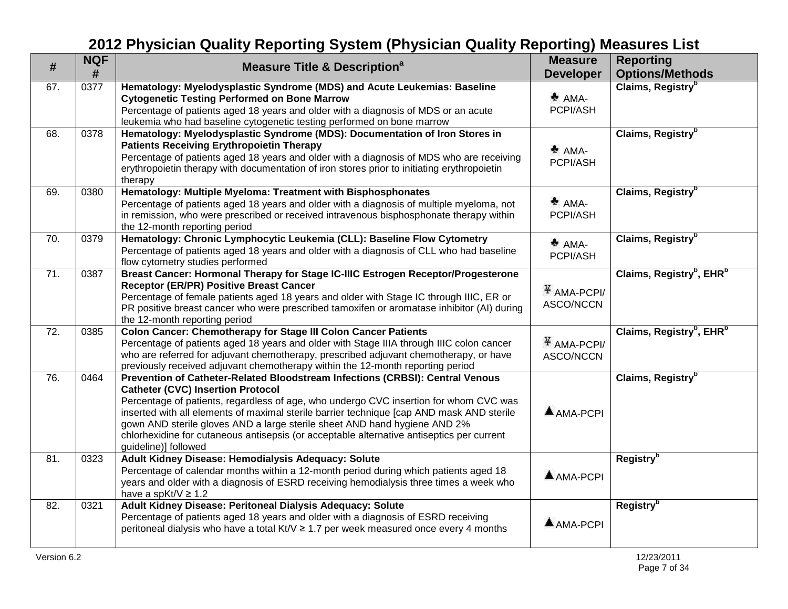| $\#$              | <b>NQF</b><br># | <b>Measure Title &amp; Description<sup>a</sup></b>                                                                                                                                                                                                                                                                                                                                                                                                                                                                | <b>Measure</b><br><b>Developer</b>    | <b>Reporting</b><br><b>Options/Methods</b>       |
|-------------------|-----------------|-------------------------------------------------------------------------------------------------------------------------------------------------------------------------------------------------------------------------------------------------------------------------------------------------------------------------------------------------------------------------------------------------------------------------------------------------------------------------------------------------------------------|---------------------------------------|--------------------------------------------------|
| 67.               | 0377            | Hematology: Myelodysplastic Syndrome (MDS) and Acute Leukemias: Baseline<br><b>Cytogenetic Testing Performed on Bone Marrow</b><br>Percentage of patients aged 18 years and older with a diagnosis of MDS or an acute<br>leukemia who had baseline cytogenetic testing performed on bone marrow                                                                                                                                                                                                                   | $AMA-$<br>PCPI/ASH                    | Claims, Registry <sup>b</sup>                    |
| 68.               | 0378            | Hematology: Myelodysplastic Syndrome (MDS): Documentation of Iron Stores in<br><b>Patients Receiving Erythropoietin Therapy</b><br>Percentage of patients aged 18 years and older with a diagnosis of MDS who are receiving<br>erythropoietin therapy with documentation of iron stores prior to initiating erythropoietin<br>therapy                                                                                                                                                                             | $AMA-$<br>PCPI/ASH                    | Claims, Registry <sup>b</sup>                    |
| 69.               | 0380            | Hematology: Multiple Myeloma: Treatment with Bisphosphonates<br>Percentage of patients aged 18 years and older with a diagnosis of multiple myeloma, not<br>in remission, who were prescribed or received intravenous bisphosphonate therapy within<br>the 12-month reporting period                                                                                                                                                                                                                              | $^*$ AMA-<br>PCPI/ASH                 | Claims, Registry <sup>b</sup>                    |
| 70.               | 0379            | Hematology: Chronic Lymphocytic Leukemia (CLL): Baseline Flow Cytometry<br>Percentage of patients aged 18 years and older with a diagnosis of CLL who had baseline<br>flow cytometry studies performed                                                                                                                                                                                                                                                                                                            | $AMA-$<br>PCPI/ASH                    | Claims, Registry <sup>b</sup>                    |
| 71.               | 0387            | Breast Cancer: Hormonal Therapy for Stage IC-IIIC Estrogen Receptor/Progesterone<br><b>Receptor (ER/PR) Positive Breast Cancer</b><br>Percentage of female patients aged 18 years and older with Stage IC through IIIC, ER or<br>PR positive breast cancer who were prescribed tamoxifen or aromatase inhibitor (AI) during<br>the 12-month reporting period                                                                                                                                                      | $\frac{11}{4}$ AMA-PCPI/<br>ASCO/NCCN | Claims, Registry <sup>b</sup> , EHR <sup>b</sup> |
| $\overline{72}$ . | 0385            | <b>Colon Cancer: Chemotherapy for Stage III Colon Cancer Patients</b><br>Percentage of patients aged 18 years and older with Stage IIIA through IIIC colon cancer<br>who are referred for adjuvant chemotherapy, prescribed adjuvant chemotherapy, or have<br>previously received adjuvant chemotherapy within the 12-month reporting period                                                                                                                                                                      | $\frac{11}{4}$ AMA-PCPI/<br>ASCO/NCCN | Claims, Registry <sup>b</sup> , EHR <sup>b</sup> |
| 76.               | 0464            | Prevention of Catheter-Related Bloodstream Infections (CRBSI): Central Venous<br><b>Catheter (CVC) Insertion Protocol</b><br>Percentage of patients, regardless of age, who undergo CVC insertion for whom CVC was<br>inserted with all elements of maximal sterile barrier technique [cap AND mask AND sterile<br>gown AND sterile gloves AND a large sterile sheet AND hand hygiene AND 2%<br>chlorhexidine for cutaneous antisepsis (or acceptable alternative antiseptics per current<br>guideline)] followed | $AMA-PCPI$                            | Claims, Registry <sup>b</sup>                    |
| 81.               | 0323            | Adult Kidney Disease: Hemodialysis Adequacy: Solute<br>Percentage of calendar months within a 12-month period during which patients aged 18<br>years and older with a diagnosis of ESRD receiving hemodialysis three times a week who<br>have a spKt/V $\geq$ 1.2                                                                                                                                                                                                                                                 | $A$ AMA-PCPI                          | <b>Registry</b> <sup>b</sup>                     |
| 82.               | 0321            | Adult Kidney Disease: Peritoneal Dialysis Adequacy: Solute<br>Percentage of patients aged 18 years and older with a diagnosis of ESRD receiving<br>peritoneal dialysis who have a total Kt/V ≥ 1.7 per week measured once every 4 months                                                                                                                                                                                                                                                                          | AMA-PCPI                              | <b>Registry</b> <sup>b</sup>                     |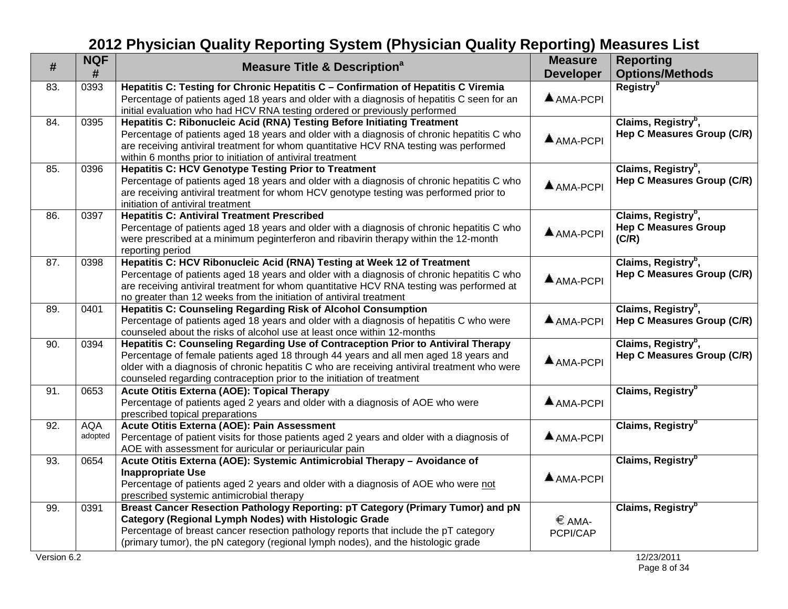| #           | <b>NQF</b><br>#       | <b>Measure Title &amp; Description<sup>a</sup></b>                                                                                                                                                                                                                                                                                                  | <b>Measure</b><br><b>Developer</b> | <b>Reporting</b><br><b>Options/Methods</b>                              |
|-------------|-----------------------|-----------------------------------------------------------------------------------------------------------------------------------------------------------------------------------------------------------------------------------------------------------------------------------------------------------------------------------------------------|------------------------------------|-------------------------------------------------------------------------|
| 83.         | 0393                  | Hepatitis C: Testing for Chronic Hepatitis C - Confirmation of Hepatitis C Viremia<br>Percentage of patients aged 18 years and older with a diagnosis of hepatitis C seen for an<br>initial evaluation who had HCV RNA testing ordered or previously performed                                                                                      | $AMA-PCPI$                         | Registry <sup>b</sup>                                                   |
| 84.         | 0395                  | Hepatitis C: Ribonucleic Acid (RNA) Testing Before Initiating Treatment<br>Percentage of patients aged 18 years and older with a diagnosis of chronic hepatitis C who<br>are receiving antiviral treatment for whom quantitative HCV RNA testing was performed<br>within 6 months prior to initiation of antiviral treatment                        | $A$ AMA-PCPI                       | Claims, Registry <sup>b</sup> ,<br>Hep C Measures Group (C/R)           |
| 85.         | 0396                  | <b>Hepatitis C: HCV Genotype Testing Prior to Treatment</b><br>Percentage of patients aged 18 years and older with a diagnosis of chronic hepatitis C who<br>are receiving antiviral treatment for whom HCV genotype testing was performed prior to<br>initiation of antiviral treatment                                                            | <b>A</b> AMA-PCPI                  | Claims, Registry <sup>b</sup> ,<br>Hep C Measures Group (C/R)           |
| 86.         | 0397                  | <b>Hepatitis C: Antiviral Treatment Prescribed</b><br>Percentage of patients aged 18 years and older with a diagnosis of chronic hepatitis C who<br>were prescribed at a minimum peginterferon and ribavirin therapy within the 12-month<br>reporting period                                                                                        | $A$ AMA-PCPI                       | Claims, Registry <sup>b</sup> ,<br><b>Hep C Measures Group</b><br>(C/R) |
| 87.         | 0398                  | Hepatitis C: HCV Ribonucleic Acid (RNA) Testing at Week 12 of Treatment<br>Percentage of patients aged 18 years and older with a diagnosis of chronic hepatitis C who<br>are receiving antiviral treatment for whom quantitative HCV RNA testing was performed at<br>no greater than 12 weeks from the initiation of antiviral treatment            | AMA-PCPI                           | Claims, Registry <sup>b</sup> ,<br>Hep C Measures Group (C/R)           |
| 89.         | 0401                  | Hepatitis C: Counseling Regarding Risk of Alcohol Consumption<br>Percentage of patients aged 18 years and older with a diagnosis of hepatitis C who were<br>counseled about the risks of alcohol use at least once within 12-months                                                                                                                 | AMA-PCPI                           | Claims, Registry <sup>b</sup> ,<br>Hep C Measures Group (C/R)           |
| 90.         | 0394                  | Hepatitis C: Counseling Regarding Use of Contraception Prior to Antiviral Therapy<br>Percentage of female patients aged 18 through 44 years and all men aged 18 years and<br>older with a diagnosis of chronic hepatitis C who are receiving antiviral treatment who were<br>counseled regarding contraception prior to the initiation of treatment | AMA-PCPI                           | Claims, Registry <sup>b</sup> ,<br>Hep C Measures Group (C/R)           |
| 91.         | 0653                  | Acute Otitis Externa (AOE): Topical Therapy<br>Percentage of patients aged 2 years and older with a diagnosis of AOE who were<br>prescribed topical preparations                                                                                                                                                                                    | $A$ AMA-PCPI                       | Claims, Registry <sup>b</sup>                                           |
| 92.         | <b>AQA</b><br>adopted | Acute Otitis Externa (AOE): Pain Assessment<br>Percentage of patient visits for those patients aged 2 years and older with a diagnosis of<br>AOE with assessment for auricular or periauricular pain                                                                                                                                                | AMA-PCPI                           | Claims, Registry <sup>b</sup>                                           |
| 93.         | 0654                  | Acute Otitis Externa (AOE): Systemic Antimicrobial Therapy - Avoidance of<br><b>Inappropriate Use</b><br>Percentage of patients aged 2 years and older with a diagnosis of AOE who were not<br>prescribed systemic antimicrobial therapy                                                                                                            | $A$ AMA-PCPI                       | Claims, Registry <sup>b</sup>                                           |
| 99.         | 0391                  | Breast Cancer Resection Pathology Reporting: pT Category (Primary Tumor) and pN<br><b>Category (Regional Lymph Nodes) with Histologic Grade</b><br>Percentage of breast cancer resection pathology reports that include the pT category<br>(primary tumor), the pN category (regional lymph nodes), and the histologic grade                        | € AMA-<br>PCPI/CAP                 | Claims, Registry <sup>b</sup>                                           |
| Version 6.2 |                       |                                                                                                                                                                                                                                                                                                                                                     |                                    | 12/23/2011                                                              |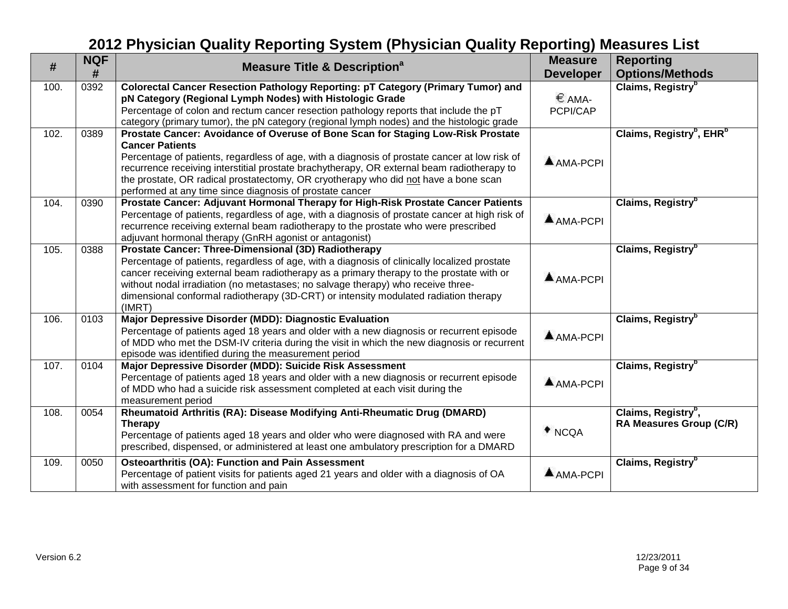| #    | <b>NQF</b><br># | <b>Measure Title &amp; Description<sup>a</sup></b>                                                                                                                                                                                                                                                                                                                                                                                                                                                                                                        | <b>Measure</b><br><b>Developer</b> | <b>Reporting</b><br><b>Options/Methods</b>                 |
|------|-----------------|-----------------------------------------------------------------------------------------------------------------------------------------------------------------------------------------------------------------------------------------------------------------------------------------------------------------------------------------------------------------------------------------------------------------------------------------------------------------------------------------------------------------------------------------------------------|------------------------------------|------------------------------------------------------------|
| 100. | 0392            | Colorectal Cancer Resection Pathology Reporting: pT Category (Primary Tumor) and<br>pN Category (Regional Lymph Nodes) with Histologic Grade<br>Percentage of colon and rectum cancer resection pathology reports that include the pT                                                                                                                                                                                                                                                                                                                     | € AMA-<br>PCPI/CAP                 | Claims, Registry <sup>b</sup>                              |
| 102. | 0389            | category (primary tumor), the pN category (regional lymph nodes) and the histologic grade<br>Prostate Cancer: Avoidance of Overuse of Bone Scan for Staging Low-Risk Prostate<br><b>Cancer Patients</b><br>Percentage of patients, regardless of age, with a diagnosis of prostate cancer at low risk of<br>recurrence receiving interstitial prostate brachytherapy, OR external beam radiotherapy to<br>the prostate, OR radical prostatectomy, OR cryotherapy who did not have a bone scan<br>performed at any time since diagnosis of prostate cancer | AMA-PCPI                           | Claims, Registry <sup>b</sup> , EHR <sup>b</sup>           |
| 104. | 0390            | Prostate Cancer: Adjuvant Hormonal Therapy for High-Risk Prostate Cancer Patients<br>Percentage of patients, regardless of age, with a diagnosis of prostate cancer at high risk of<br>recurrence receiving external beam radiotherapy to the prostate who were prescribed<br>adjuvant hormonal therapy (GnRH agonist or antagonist)                                                                                                                                                                                                                      | $AMA-PCPI$                         | Claims, Registry <sup>b</sup>                              |
| 105. | 0388            | Prostate Cancer: Three-Dimensional (3D) Radiotherapy<br>Percentage of patients, regardless of age, with a diagnosis of clinically localized prostate<br>cancer receiving external beam radiotherapy as a primary therapy to the prostate with or<br>without nodal irradiation (no metastases; no salvage therapy) who receive three-<br>dimensional conformal radiotherapy (3D-CRT) or intensity modulated radiation therapy<br>(IMRT)                                                                                                                    | AMA-PCPI                           | Claims, Registry <sup>b</sup>                              |
| 106. | 0103            | Major Depressive Disorder (MDD): Diagnostic Evaluation<br>Percentage of patients aged 18 years and older with a new diagnosis or recurrent episode<br>of MDD who met the DSM-IV criteria during the visit in which the new diagnosis or recurrent<br>episode was identified during the measurement period                                                                                                                                                                                                                                                 | AMA-PCPI                           | Claims, Registry <sup>b</sup>                              |
| 107. | 0104            | Major Depressive Disorder (MDD): Suicide Risk Assessment<br>Percentage of patients aged 18 years and older with a new diagnosis or recurrent episode<br>of MDD who had a suicide risk assessment completed at each visit during the<br>measurement period                                                                                                                                                                                                                                                                                                 | AMA-PCPI                           | Claims, Registry <sup>b</sup>                              |
| 108. | 0054            | Rheumatoid Arthritis (RA): Disease Modifying Anti-Rheumatic Drug (DMARD)<br><b>Therapy</b><br>Percentage of patients aged 18 years and older who were diagnosed with RA and were<br>prescribed, dispensed, or administered at least one ambulatory prescription for a DMARD                                                                                                                                                                                                                                                                               | $*_{NCQA}$                         | Claims, Registry <sup>b</sup> ,<br>RA Measures Group (C/R) |
| 109. | 0050            | <b>Osteoarthritis (OA): Function and Pain Assessment</b><br>Percentage of patient visits for patients aged 21 years and older with a diagnosis of OA<br>with assessment for function and pain                                                                                                                                                                                                                                                                                                                                                             | AMA-PCPI                           | Claims, Registry <sup>b</sup>                              |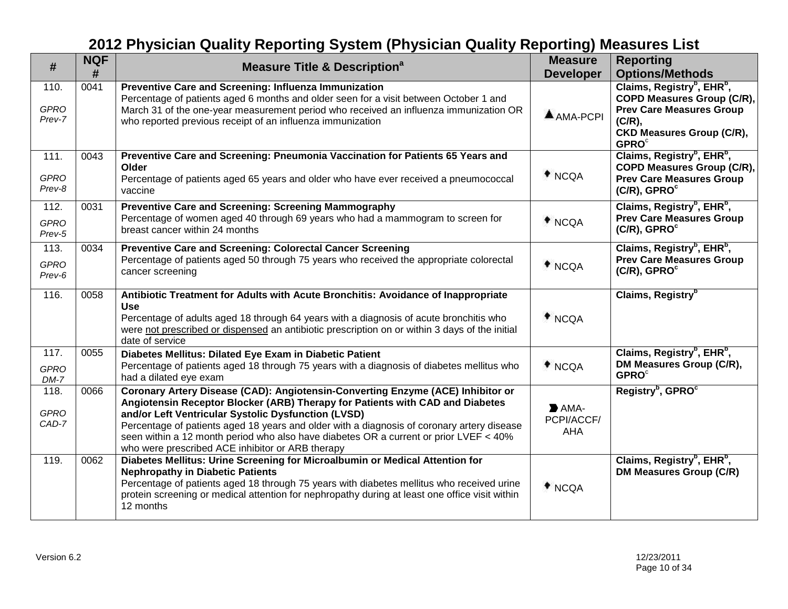| $\#$                          | <b>NQF</b> | <b>Measure Title &amp; Description<sup>a</sup></b>                                                                                                                                                                                                                                                                                                                                                                                                                 | <b>Measure</b>                                         | <b>Reporting</b>                                                                                                                                                           |
|-------------------------------|------------|--------------------------------------------------------------------------------------------------------------------------------------------------------------------------------------------------------------------------------------------------------------------------------------------------------------------------------------------------------------------------------------------------------------------------------------------------------------------|--------------------------------------------------------|----------------------------------------------------------------------------------------------------------------------------------------------------------------------------|
|                               | #          |                                                                                                                                                                                                                                                                                                                                                                                                                                                                    | <b>Developer</b>                                       | <b>Options/Methods</b>                                                                                                                                                     |
| 110.<br><b>GPRO</b><br>Prev-7 | 0041       | Preventive Care and Screening: Influenza Immunization<br>Percentage of patients aged 6 months and older seen for a visit between October 1 and<br>March 31 of the one-year measurement period who received an influenza immunization OR<br>who reported previous receipt of an influenza immunization                                                                                                                                                              | $AMA-PCPI$                                             | Claims, Registry <sup>b</sup> , EHR <sup>b</sup> ,<br>COPD Measures Group (C/R),<br><b>Prev Care Measures Group</b><br>(C/R),<br><b>CKD Measures Group (C/R),</b><br>GPROC |
| 111.<br><b>GPRO</b><br>Prev-8 | 0043       | Preventive Care and Screening: Pneumonia Vaccination for Patients 65 Years and<br>Older<br>Percentage of patients aged 65 years and older who have ever received a pneumococcal<br>vaccine                                                                                                                                                                                                                                                                         | $*$ NCQA                                               | Claims, Registry <sup>b</sup> , EHR <sup>b</sup> ,<br>COPD Measures Group (C/R),<br><b>Prev Care Measures Group</b><br>$(C/R)$ , GPRO $\textdegree$                        |
| 112.<br><b>GPRO</b><br>Prev-5 | 0031       | Preventive Care and Screening: Screening Mammography<br>Percentage of women aged 40 through 69 years who had a mammogram to screen for<br>breast cancer within 24 months                                                                                                                                                                                                                                                                                           | $*$ NCQA                                               | Claims, Registry <sup>b</sup> , EHR <sup>b</sup> ,<br><b>Prev Care Measures Group</b><br>(C/R), GPRO <sup>c</sup>                                                          |
| 113.<br><b>GPRO</b><br>Prev-6 | 0034       | Preventive Care and Screening: Colorectal Cancer Screening<br>Percentage of patients aged 50 through 75 years who received the appropriate colorectal<br>cancer screening                                                                                                                                                                                                                                                                                          | $*_{NCQA}$                                             | Claims, Registry <sup>b</sup> , EHR <sup>b</sup> ,<br><b>Prev Care Measures Group</b><br>$(C/R)$ , GPRO $\textdegree$                                                      |
| 116.                          | 0058       | Antibiotic Treatment for Adults with Acute Bronchitis: Avoidance of Inappropriate<br><b>Use</b><br>Percentage of adults aged 18 through 64 years with a diagnosis of acute bronchitis who<br>were not prescribed or dispensed an antibiotic prescription on or within 3 days of the initial<br>date of service                                                                                                                                                     | $*_{NCQA}$                                             | Claims, Registry <sup>b</sup>                                                                                                                                              |
| 117.<br><b>GPRO</b><br>$DM-7$ | 0055       | Diabetes Mellitus: Dilated Eye Exam in Diabetic Patient<br>Percentage of patients aged 18 through 75 years with a diagnosis of diabetes mellitus who<br>had a dilated eye exam                                                                                                                                                                                                                                                                                     | $*_{NCQA}$                                             | Claims, Registry <sup>b</sup> , EHR <sup>b</sup> ,<br>DM Measures Group (C/R),<br><b>GPRO</b> <sup>c</sup>                                                                 |
| 118.<br><b>GPRO</b><br>CAD-7  | 0066       | Coronary Artery Disease (CAD): Angiotensin-Converting Enzyme (ACE) Inhibitor or<br>Angiotensin Receptor Blocker (ARB) Therapy for Patients with CAD and Diabetes<br>and/or Left Ventricular Systolic Dysfunction (LVSD)<br>Percentage of patients aged 18 years and older with a diagnosis of coronary artery disease<br>seen within a 12 month period who also have diabetes OR a current or prior LVEF < 40%<br>who were prescribed ACE inhibitor or ARB therapy | $\blacktriangleright$ AMA-<br>PCPI/ACCF/<br><b>AHA</b> | Registry <sup>b</sup> , GPRO <sup>c</sup>                                                                                                                                  |
| 119.                          | 0062       | Diabetes Mellitus: Urine Screening for Microalbumin or Medical Attention for<br><b>Nephropathy in Diabetic Patients</b><br>Percentage of patients aged 18 through 75 years with diabetes mellitus who received urine<br>protein screening or medical attention for nephropathy during at least one office visit within<br>12 months                                                                                                                                | $*_{NCQA}$                                             | Claims, Registry <sup>b</sup> , EHR <sup>b</sup> ,<br>DM Measures Group (C/R)                                                                                              |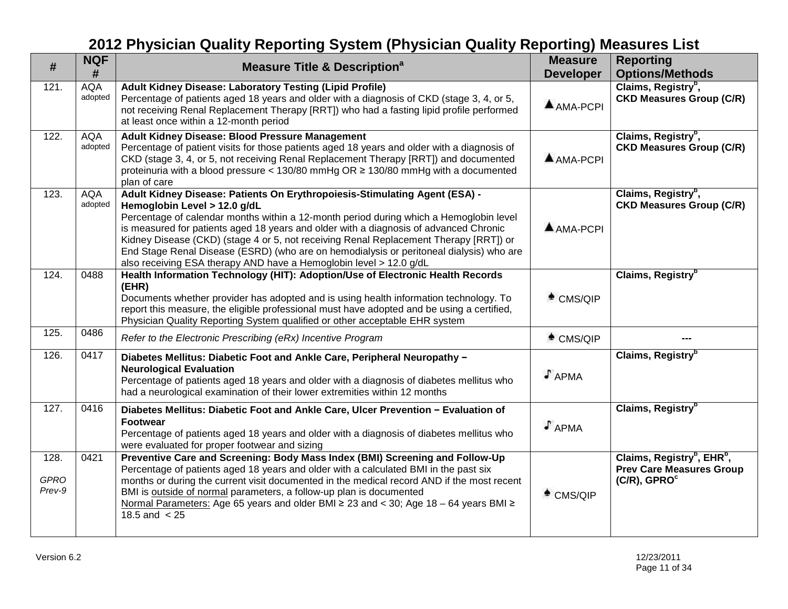| #                             | <b>NQF</b><br>#       | <b>Measure Title &amp; Description<sup>a</sup></b>                                                                                                                                                                                                                                                                                                                                                                                                                                                                                                      | <b>Measure</b><br><b>Developer</b> | <b>Reporting</b><br><b>Options/Methods</b>                                                                            |
|-------------------------------|-----------------------|---------------------------------------------------------------------------------------------------------------------------------------------------------------------------------------------------------------------------------------------------------------------------------------------------------------------------------------------------------------------------------------------------------------------------------------------------------------------------------------------------------------------------------------------------------|------------------------------------|-----------------------------------------------------------------------------------------------------------------------|
| 121.                          | <b>AQA</b><br>adopted | Adult Kidney Disease: Laboratory Testing (Lipid Profile)<br>Percentage of patients aged 18 years and older with a diagnosis of CKD (stage 3, 4, or 5,<br>not receiving Renal Replacement Therapy [RRT]) who had a fasting lipid profile performed<br>at least once within a 12-month period                                                                                                                                                                                                                                                             | $AMA-PCPI$                         | Claims, Registry <sup>b</sup> ,<br><b>CKD Measures Group (C/R)</b>                                                    |
| 122.                          | <b>AQA</b><br>adopted | Adult Kidney Disease: Blood Pressure Management<br>Percentage of patient visits for those patients aged 18 years and older with a diagnosis of<br>CKD (stage 3, 4, or 5, not receiving Renal Replacement Therapy [RRT]) and documented<br>proteinuria with a blood pressure < 130/80 mmHg OR ≥ 130/80 mmHg with a documented<br>plan of care                                                                                                                                                                                                            | $AMA-PCPI$                         | Claims, Registry <sup>b</sup> ,<br><b>CKD Measures Group (C/R)</b>                                                    |
| 123.                          | <b>AQA</b><br>adopted | Adult Kidney Disease: Patients On Erythropoiesis-Stimulating Agent (ESA) -<br>Hemoglobin Level > 12.0 g/dL<br>Percentage of calendar months within a 12-month period during which a Hemoglobin level<br>is measured for patients aged 18 years and older with a diagnosis of advanced Chronic<br>Kidney Disease (CKD) (stage 4 or 5, not receiving Renal Replacement Therapy [RRT]) or<br>End Stage Renal Disease (ESRD) (who are on hemodialysis or peritoneal dialysis) who are<br>also receiving ESA therapy AND have a Hemoglobin level > 12.0 g/dL | $A$ AMA-PCPI                       | Claims, Registry <sup>b</sup> ,<br><b>CKD Measures Group (C/R)</b>                                                    |
| 124.                          | 0488                  | Health Information Technology (HIT): Adoption/Use of Electronic Health Records<br>(EHR)<br>Documents whether provider has adopted and is using health information technology. To<br>report this measure, the eligible professional must have adopted and be using a certified,<br>Physician Quality Reporting System qualified or other acceptable EHR system                                                                                                                                                                                           | $^*$ CMS/QIP                       | Claims, Registry <sup>b</sup>                                                                                         |
| 125.                          | 0486                  | Refer to the Electronic Prescribing (eRx) Incentive Program                                                                                                                                                                                                                                                                                                                                                                                                                                                                                             | $^*$ CMS/QIP                       |                                                                                                                       |
| 126.                          | 0417                  | Diabetes Mellitus: Diabetic Foot and Ankle Care, Peripheral Neuropathy -<br><b>Neurological Evaluation</b><br>Percentage of patients aged 18 years and older with a diagnosis of diabetes mellitus who<br>had a neurological examination of their lower extremities within 12 months                                                                                                                                                                                                                                                                    | $J$ APMA                           | Claims, Registry <sup>b</sup>                                                                                         |
| 127.                          | 0416                  | Diabetes Mellitus: Diabetic Foot and Ankle Care, Ulcer Prevention - Evaluation of<br><b>Footwear</b><br>Percentage of patients aged 18 years and older with a diagnosis of diabetes mellitus who<br>were evaluated for proper footwear and sizing                                                                                                                                                                                                                                                                                                       | $J$ APMA                           | Claims, Registry <sup>b</sup>                                                                                         |
| 128.<br><b>GPRO</b><br>Prev-9 | 0421                  | Preventive Care and Screening: Body Mass Index (BMI) Screening and Follow-Up<br>Percentage of patients aged 18 years and older with a calculated BMI in the past six<br>months or during the current visit documented in the medical record AND if the most recent<br>BMI is outside of normal parameters, a follow-up plan is documented<br>Normal Parameters: Age 65 years and older BMI ≥ 23 and < 30; Age 18 – 64 years BMI ≥<br>18.5 and $< 25$                                                                                                    | $^*$ CMS/QIP                       | Claims, Registry <sup>b</sup> , EHR <sup>b</sup> ,<br><b>Prev Care Measures Group</b><br>$(C/R)$ , GPRO $\textdegree$ |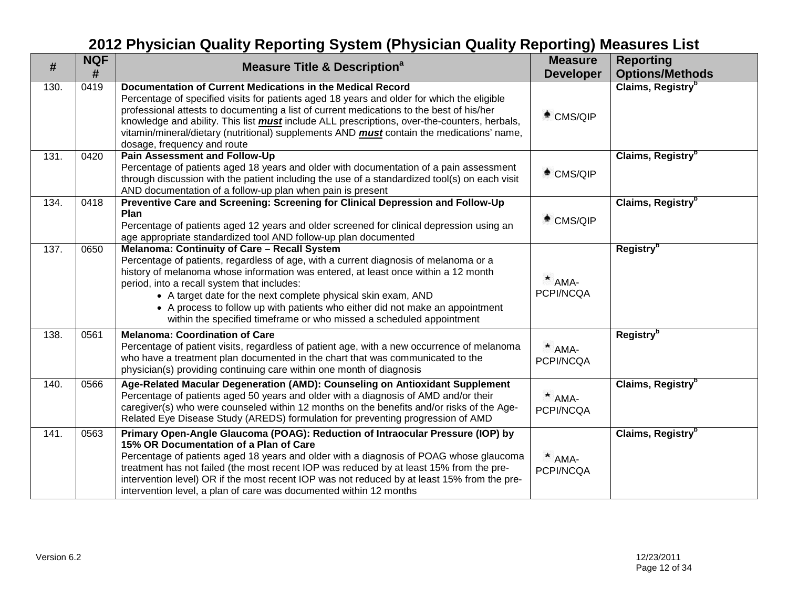| #    | <b>NQF</b><br># | <b>Measure Title &amp; Description<sup>a</sup></b>                                                                                                                                                                                                                                                                                                                                                                                                                                                  | <b>Measure</b><br><b>Developer</b> | <b>Reporting</b><br><b>Options/Methods</b> |
|------|-----------------|-----------------------------------------------------------------------------------------------------------------------------------------------------------------------------------------------------------------------------------------------------------------------------------------------------------------------------------------------------------------------------------------------------------------------------------------------------------------------------------------------------|------------------------------------|--------------------------------------------|
| 130. | 0419            | Documentation of Current Medications in the Medical Record<br>Percentage of specified visits for patients aged 18 years and older for which the eligible<br>professional attests to documenting a list of current medications to the best of his/her<br>knowledge and ability. This list <i>must</i> include ALL prescriptions, over-the-counters, herbals,<br>vitamin/mineral/dietary (nutritional) supplements AND must contain the medications' name,<br>dosage, frequency and route             | $*$ CMS/QIP                        | Claims, Registry <sup>b</sup>              |
| 131. | 0420            | <b>Pain Assessment and Follow-Up</b><br>Percentage of patients aged 18 years and older with documentation of a pain assessment<br>through discussion with the patient including the use of a standardized tool(s) on each visit<br>AND documentation of a follow-up plan when pain is present                                                                                                                                                                                                       | $*$ CMS/QIP                        | Claims, Registry <sup>b</sup>              |
| 134. | 0418            | Preventive Care and Screening: Screening for Clinical Depression and Follow-Up<br>Plan<br>Percentage of patients aged 12 years and older screened for clinical depression using an<br>age appropriate standardized tool AND follow-up plan documented                                                                                                                                                                                                                                               | $*$ CMS/QIP                        | Claims, Registry <sup>b</sup>              |
| 137. | 0650            | Melanoma: Continuity of Care - Recall System<br>Percentage of patients, regardless of age, with a current diagnosis of melanoma or a<br>history of melanoma whose information was entered, at least once within a 12 month<br>period, into a recall system that includes:<br>• A target date for the next complete physical skin exam, AND<br>• A process to follow up with patients who either did not make an appointment<br>within the specified timeframe or who missed a scheduled appointment | $*$ AMA-<br>PCPI/NCQA              | Registry <sup>b</sup>                      |
| 138. | 0561            | <b>Melanoma: Coordination of Care</b><br>Percentage of patient visits, regardless of patient age, with a new occurrence of melanoma<br>who have a treatment plan documented in the chart that was communicated to the<br>physician(s) providing continuing care within one month of diagnosis                                                                                                                                                                                                       | $*$ AMA-<br>PCPI/NCQA              | Registry <sup>b</sup>                      |
| 140. | 0566            | Age-Related Macular Degeneration (AMD): Counseling on Antioxidant Supplement<br>Percentage of patients aged 50 years and older with a diagnosis of AMD and/or their<br>caregiver(s) who were counseled within 12 months on the benefits and/or risks of the Age-<br>Related Eye Disease Study (AREDS) formulation for preventing progression of AMD                                                                                                                                                 | $*$ AMA-<br>PCPI/NCQA              | Claims, Registry <sup>b</sup>              |
| 141. | 0563            | Primary Open-Angle Glaucoma (POAG): Reduction of Intraocular Pressure (IOP) by<br>15% OR Documentation of a Plan of Care<br>Percentage of patients aged 18 years and older with a diagnosis of POAG whose glaucoma<br>treatment has not failed (the most recent IOP was reduced by at least 15% from the pre-<br>intervention level) OR if the most recent IOP was not reduced by at least 15% from the pre-<br>intervention level, a plan of care was documented within 12 months                  | $*$ AMA-<br>PCPI/NCQA              | Claims, Registry <sup>b</sup>              |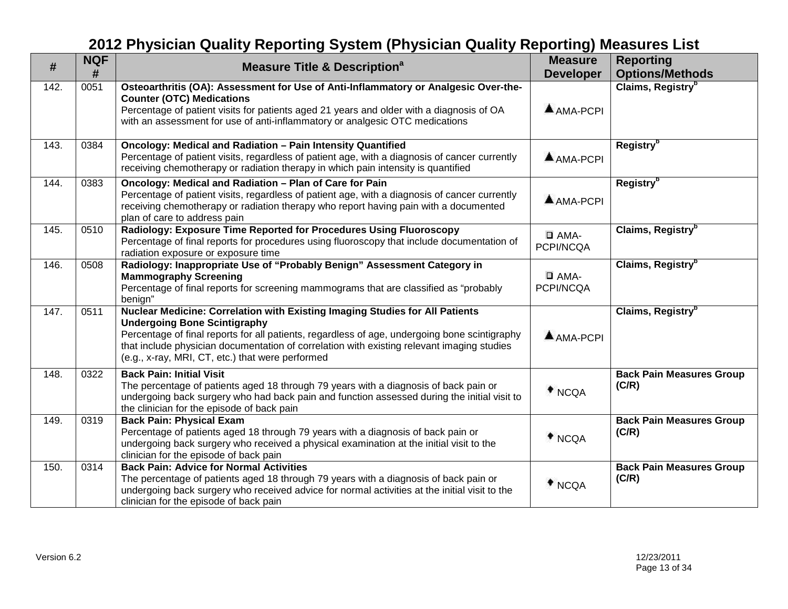| #    | <b>NQF</b><br># | <b>Measure Title &amp; Description</b> <sup>a</sup>                                                                                                                                                                                                                                                                                                                    | <b>Measure</b><br><b>Developer</b> | <b>Reporting</b><br><b>Options/Methods</b> |
|------|-----------------|------------------------------------------------------------------------------------------------------------------------------------------------------------------------------------------------------------------------------------------------------------------------------------------------------------------------------------------------------------------------|------------------------------------|--------------------------------------------|
| 142. | 0051            | Osteoarthritis (OA): Assessment for Use of Anti-Inflammatory or Analgesic Over-the-<br><b>Counter (OTC) Medications</b><br>Percentage of patient visits for patients aged 21 years and older with a diagnosis of OA<br>with an assessment for use of anti-inflammatory or analgesic OTC medications                                                                    | AMA-PCPI                           | Claims, Registry <sup>b</sup>              |
| 143. | 0384            | Oncology: Medical and Radiation - Pain Intensity Quantified<br>Percentage of patient visits, regardless of patient age, with a diagnosis of cancer currently<br>receiving chemotherapy or radiation therapy in which pain intensity is quantified                                                                                                                      | AMA-PCPI                           | Registry <sup>b</sup>                      |
| 144. | 0383            | Oncology: Medical and Radiation - Plan of Care for Pain<br>Percentage of patient visits, regardless of patient age, with a diagnosis of cancer currently<br>receiving chemotherapy or radiation therapy who report having pain with a documented<br>plan of care to address pain                                                                                       | $AMA-PCPI$                         | <b>Registry</b> <sup>b</sup>               |
| 145. | 0510            | Radiology: Exposure Time Reported for Procedures Using Fluoroscopy<br>Percentage of final reports for procedures using fluoroscopy that include documentation of<br>radiation exposure or exposure time                                                                                                                                                                | $\Box$ AMA-<br>PCPI/NCQA           | Claims, Registry <sup>b</sup>              |
| 146. | 0508            | Radiology: Inappropriate Use of "Probably Benign" Assessment Category in<br><b>Mammography Screening</b><br>Percentage of final reports for screening mammograms that are classified as "probably<br>benign"                                                                                                                                                           | $\Box$ AMA-<br>PCPI/NCQA           | Claims, Registry <sup>b</sup>              |
| 147. | 0511            | Nuclear Medicine: Correlation with Existing Imaging Studies for All Patients<br><b>Undergoing Bone Scintigraphy</b><br>Percentage of final reports for all patients, regardless of age, undergoing bone scintigraphy<br>that include physician documentation of correlation with existing relevant imaging studies<br>(e.g., x-ray, MRI, CT, etc.) that were performed | $AMA-PCPI$                         | Claims, Registry <sup>b</sup>              |
| 148. | 0322            | <b>Back Pain: Initial Visit</b><br>The percentage of patients aged 18 through 79 years with a diagnosis of back pain or<br>undergoing back surgery who had back pain and function assessed during the initial visit to<br>the clinician for the episode of back pain                                                                                                   | $*_{NCQA}$                         | <b>Back Pain Measures Group</b><br>(C/R)   |
| 149. | 0319            | <b>Back Pain: Physical Exam</b><br>Percentage of patients aged 18 through 79 years with a diagnosis of back pain or<br>undergoing back surgery who received a physical examination at the initial visit to the<br>clinician for the episode of back pain                                                                                                               | $*$ NCQA                           | <b>Back Pain Measures Group</b><br>(C/R)   |
| 150. | 0314            | <b>Back Pain: Advice for Normal Activities</b><br>The percentage of patients aged 18 through 79 years with a diagnosis of back pain or<br>undergoing back surgery who received advice for normal activities at the initial visit to the<br>clinician for the episode of back pain                                                                                      | $*$ NCQA                           | <b>Back Pain Measures Group</b><br>(C/R)   |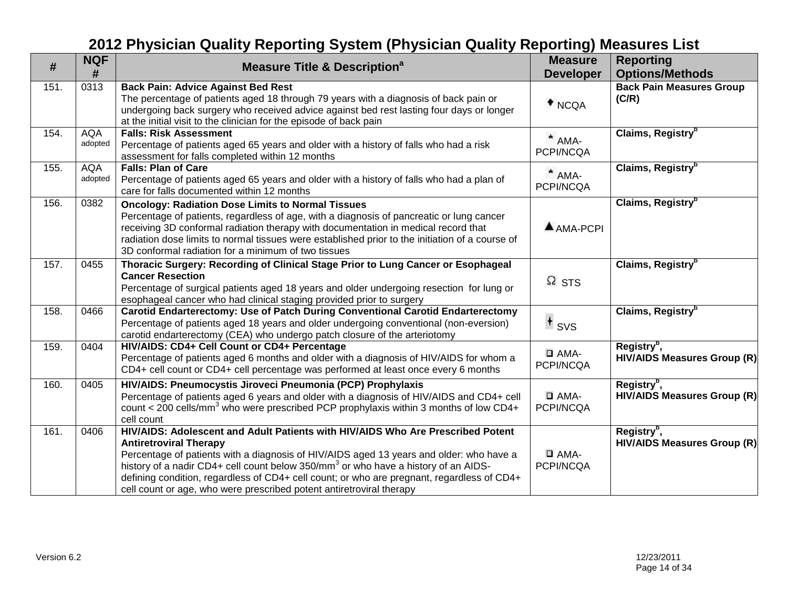| #    | <b>NQF</b><br>#       | <b>Measure Title &amp; Description<sup>a</sup></b>                                                                                                                                                                                                                                                                                                                                                                                                                                  | <b>Measure</b><br><b>Developer</b> | <b>Reporting</b><br><b>Options/Methods</b>                    |
|------|-----------------------|-------------------------------------------------------------------------------------------------------------------------------------------------------------------------------------------------------------------------------------------------------------------------------------------------------------------------------------------------------------------------------------------------------------------------------------------------------------------------------------|------------------------------------|---------------------------------------------------------------|
| 151. | 0313                  | <b>Back Pain: Advice Against Bed Rest</b><br>The percentage of patients aged 18 through 79 years with a diagnosis of back pain or<br>undergoing back surgery who received advice against bed rest lasting four days or longer<br>at the initial visit to the clinician for the episode of back pain                                                                                                                                                                                 | $*$ NCQA                           | <b>Back Pain Measures Group</b><br>(C/R)                      |
| 154. | <b>AQA</b><br>adopted | <b>Falls: Risk Assessment</b><br>Percentage of patients aged 65 years and older with a history of falls who had a risk<br>assessment for falls completed within 12 months                                                                                                                                                                                                                                                                                                           | $*$ AMA-<br>PCPI/NCQA              | Claims, Registry <sup>b</sup>                                 |
| 155. | <b>AQA</b><br>adopted | <b>Falls: Plan of Care</b><br>Percentage of patients aged 65 years and older with a history of falls who had a plan of<br>care for falls documented within 12 months                                                                                                                                                                                                                                                                                                                | $*$ AMA-<br>PCPI/NCQA              | Claims, Registry <sup>b</sup>                                 |
| 156. | 0382                  | <b>Oncology: Radiation Dose Limits to Normal Tissues</b><br>Percentage of patients, regardless of age, with a diagnosis of pancreatic or lung cancer<br>receiving 3D conformal radiation therapy with documentation in medical record that<br>radiation dose limits to normal tissues were established prior to the initiation of a course of<br>3D conformal radiation for a minimum of two tissues                                                                                | $A$ AMA-PCPI                       | Claims, Registry <sup>b</sup>                                 |
| 157. | 0455                  | Thoracic Surgery: Recording of Clinical Stage Prior to Lung Cancer or Esophageal<br><b>Cancer Resection</b><br>Percentage of surgical patients aged 18 years and older undergoing resection for lung or<br>esophageal cancer who had clinical staging provided prior to surgery                                                                                                                                                                                                     | $\Omega$ STS                       | Claims, Registry <sup>b</sup>                                 |
| 158. | 0466                  | Carotid Endarterectomy: Use of Patch During Conventional Carotid Endarterectomy<br>Percentage of patients aged 18 years and older undergoing conventional (non-eversion)<br>carotid endarterectomy (CEA) who undergo patch closure of the arteriotomy                                                                                                                                                                                                                               | $+$ svs                            | Claims, Registry <sup>b</sup>                                 |
| 159. | 0404                  | HIV/AIDS: CD4+ Cell Count or CD4+ Percentage<br>Percentage of patients aged 6 months and older with a diagnosis of HIV/AIDS for whom a<br>CD4+ cell count or CD4+ cell percentage was performed at least once every 6 months                                                                                                                                                                                                                                                        | $\Box$ AMA-<br>PCPI/NCQA           | Registry <sup>b</sup> ,<br><b>HIV/AIDS Measures Group (R)</b> |
| 160. | 0405                  | HIV/AIDS: Pneumocystis Jiroveci Pneumonia (PCP) Prophylaxis<br>Percentage of patients aged 6 years and older with a diagnosis of HIV/AIDS and CD4+ cell<br>count < 200 cells/mm <sup>3</sup> who were prescribed PCP prophylaxis within 3 months of low CD4+<br>cell count                                                                                                                                                                                                          | $\Box$ AMA-<br>PCPI/NCQA           | Registry <sup>b</sup> ,<br><b>HIV/AIDS Measures Group (R)</b> |
| 161. | 0406                  | HIV/AIDS: Adolescent and Adult Patients with HIV/AIDS Who Are Prescribed Potent<br><b>Antiretroviral Therapy</b><br>Percentage of patients with a diagnosis of HIV/AIDS aged 13 years and older: who have a<br>history of a nadir CD4+ cell count below 350/mm <sup>3</sup> or who have a history of an AIDS-<br>defining condition, regardless of CD4+ cell count; or who are pregnant, regardless of CD4+<br>cell count or age, who were prescribed potent antiretroviral therapy | $\Box$ AMA-<br>PCPI/NCQA           | Registry <sup>b</sup> ,<br><b>HIV/AIDS Measures Group (R)</b> |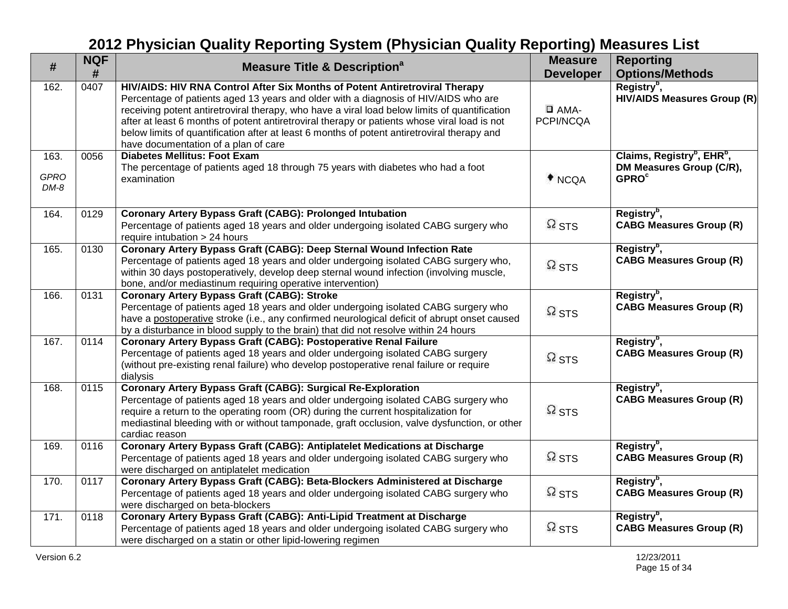| #                             | <b>NQF</b><br># | <b>Measure Title &amp; Description<sup>a</sup></b>                                                                                                                                                                                                                                                                                                                                                                                                                                                         | <b>Measure</b><br><b>Developer</b> | <b>Reporting</b><br><b>Options/Methods</b>                                                                |
|-------------------------------|-----------------|------------------------------------------------------------------------------------------------------------------------------------------------------------------------------------------------------------------------------------------------------------------------------------------------------------------------------------------------------------------------------------------------------------------------------------------------------------------------------------------------------------|------------------------------------|-----------------------------------------------------------------------------------------------------------|
| 162.                          | 0407            | HIV/AIDS: HIV RNA Control After Six Months of Potent Antiretroviral Therapy<br>Percentage of patients aged 13 years and older with a diagnosis of HIV/AIDS who are<br>receiving potent antiretroviral therapy, who have a viral load below limits of quantification<br>after at least 6 months of potent antiretroviral therapy or patients whose viral load is not<br>below limits of quantification after at least 6 months of potent antiretroviral therapy and<br>have documentation of a plan of care | $\Box$ AMA-<br>PCPI/NCQA           | Registry <sup>b</sup> ,<br><b>HIV/AIDS Measures Group (R)</b>                                             |
| 163.<br><b>GPRO</b><br>$DM-8$ | 0056            | <b>Diabetes Mellitus: Foot Exam</b><br>The percentage of patients aged 18 through 75 years with diabetes who had a foot<br>examination                                                                                                                                                                                                                                                                                                                                                                     | $*$ NCQA                           | Claims, Registry <sup>b</sup> , EHR <sup>b</sup> ,<br>DM Measures Group (C/R),<br><b>GPRO<sup>c</sup></b> |
| 164.                          | 0129            | <b>Coronary Artery Bypass Graft (CABG): Prolonged Intubation</b><br>Percentage of patients aged 18 years and older undergoing isolated CABG surgery who<br>require intubation > 24 hours                                                                                                                                                                                                                                                                                                                   | $\Omega$ STS                       | Registry <sup>b</sup> ,<br><b>CABG Measures Group (R)</b>                                                 |
| 165.                          | 0130            | Coronary Artery Bypass Graft (CABG): Deep Sternal Wound Infection Rate<br>Percentage of patients aged 18 years and older undergoing isolated CABG surgery who,<br>within 30 days postoperatively, develop deep sternal wound infection (involving muscle,<br>bone, and/or mediastinum requiring operative intervention)                                                                                                                                                                                    | $\Omega$ STS                       | Registry <sup>b</sup> ,<br><b>CABG Measures Group (R)</b>                                                 |
| 166.                          | 0131            | <b>Coronary Artery Bypass Graft (CABG): Stroke</b><br>Percentage of patients aged 18 years and older undergoing isolated CABG surgery who<br>have a postoperative stroke (i.e., any confirmed neurological deficit of abrupt onset caused<br>by a disturbance in blood supply to the brain) that did not resolve within 24 hours                                                                                                                                                                           | $\Omega$ STS                       | Registry <sup>b</sup> ,<br><b>CABG Measures Group (R)</b>                                                 |
| 167.                          | 0114            | <b>Coronary Artery Bypass Graft (CABG): Postoperative Renal Failure</b><br>Percentage of patients aged 18 years and older undergoing isolated CABG surgery<br>(without pre-existing renal failure) who develop postoperative renal failure or require<br>dialysis                                                                                                                                                                                                                                          | $\Omega$ STS                       | Registry <sup>b</sup> ,<br><b>CABG Measures Group (R)</b>                                                 |
| 168.                          | 0115            | <b>Coronary Artery Bypass Graft (CABG): Surgical Re-Exploration</b><br>Percentage of patients aged 18 years and older undergoing isolated CABG surgery who<br>require a return to the operating room (OR) during the current hospitalization for<br>mediastinal bleeding with or without tamponade, graft occlusion, valve dysfunction, or other<br>cardiac reason                                                                                                                                         | $\Omega$ STS                       | Registry <sup>b</sup> ,<br><b>CABG Measures Group (R)</b>                                                 |
| 169.                          | 0116            | Coronary Artery Bypass Graft (CABG): Antiplatelet Medications at Discharge<br>Percentage of patients aged 18 years and older undergoing isolated CABG surgery who<br>were discharged on antiplatelet medication                                                                                                                                                                                                                                                                                            | $\Omega$ STS                       | Registry <sup>b</sup> ,<br><b>CABG Measures Group (R)</b>                                                 |
| 170.                          | 0117            | Coronary Artery Bypass Graft (CABG): Beta-Blockers Administered at Discharge<br>Percentage of patients aged 18 years and older undergoing isolated CABG surgery who<br>were discharged on beta-blockers                                                                                                                                                                                                                                                                                                    | $\Omega$ STS                       | Registry <sup>b</sup> ,<br><b>CABG Measures Group (R)</b>                                                 |
| 171.                          | 0118            | Coronary Artery Bypass Graft (CABG): Anti-Lipid Treatment at Discharge<br>Percentage of patients aged 18 years and older undergoing isolated CABG surgery who<br>were discharged on a statin or other lipid-lowering regimen                                                                                                                                                                                                                                                                               | $\Omega$ STS                       | Registry <sup>b</sup> ,<br><b>CABG Measures Group (R)</b>                                                 |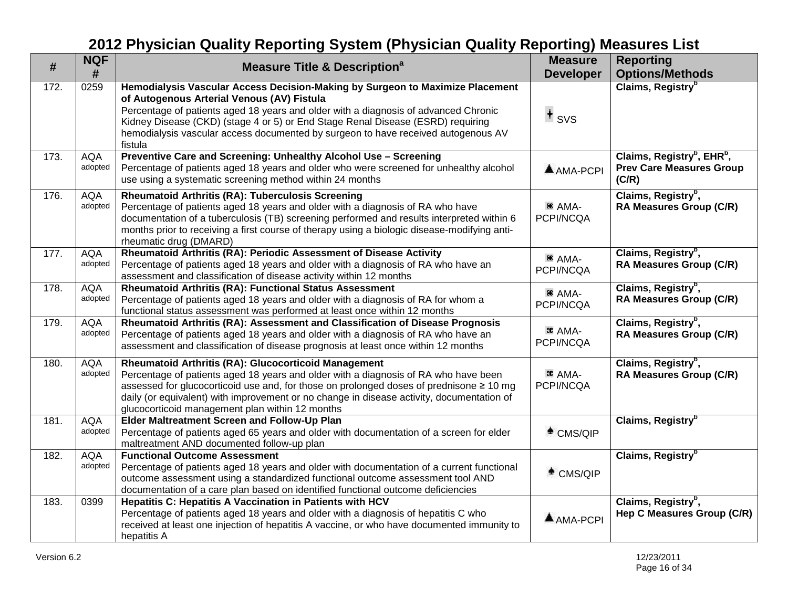| #    | <b>NQF</b><br>#       | <b>Measure Title &amp; Description<sup>a</sup></b>                                                                                                                                                                                                                                                                                                                                                    | <b>Measure</b><br><b>Developer</b> | <b>Reporting</b><br><b>Options/Methods</b>                                                     |
|------|-----------------------|-------------------------------------------------------------------------------------------------------------------------------------------------------------------------------------------------------------------------------------------------------------------------------------------------------------------------------------------------------------------------------------------------------|------------------------------------|------------------------------------------------------------------------------------------------|
| 172. | 0259                  | Hemodialysis Vascular Access Decision-Making by Surgeon to Maximize Placement<br>of Autogenous Arterial Venous (AV) Fistula<br>Percentage of patients aged 18 years and older with a diagnosis of advanced Chronic<br>Kidney Disease (CKD) (stage 4 or 5) or End Stage Renal Disease (ESRD) requiring<br>hemodialysis vascular access documented by surgeon to have received autogenous AV<br>fistula | $+$ svs                            | Claims, Registry <sup>b</sup>                                                                  |
| 173. | <b>AQA</b><br>adopted | Preventive Care and Screening: Unhealthy Alcohol Use - Screening<br>Percentage of patients aged 18 years and older who were screened for unhealthy alcohol<br>use using a systematic screening method within 24 months                                                                                                                                                                                | AMA-PCPI                           | Claims, Registry <sup>b</sup> , EHR <sup>b</sup> ,<br><b>Prev Care Measures Group</b><br>(C/R) |
| 176. | <b>AQA</b><br>adopted | <b>Rheumatoid Arthritis (RA): Tuberculosis Screening</b><br>Percentage of patients aged 18 years and older with a diagnosis of RA who have<br>documentation of a tuberculosis (TB) screening performed and results interpreted within 6<br>months prior to receiving a first course of therapy using a biologic disease-modifying anti-<br>rheumatic drug (DMARD)                                     | <sup>36</sup> AMA-<br>PCPI/NCQA    | Claims, Registry <sup>b</sup> ,<br><b>RA Measures Group (C/R)</b>                              |
| 177. | <b>AQA</b><br>adopted | Rheumatoid Arthritis (RA): Periodic Assessment of Disease Activity<br>Percentage of patients aged 18 years and older with a diagnosis of RA who have an<br>assessment and classification of disease activity within 12 months                                                                                                                                                                         | <sup>36</sup> AMA-<br>PCPI/NCQA    | Claims, Registry <sup>b</sup> ,<br><b>RA Measures Group (C/R)</b>                              |
| 178. | <b>AQA</b><br>adopted | Rheumatoid Arthritis (RA): Functional Status Assessment<br>Percentage of patients aged 18 years and older with a diagnosis of RA for whom a<br>functional status assessment was performed at least once within 12 months                                                                                                                                                                              | <sup>36</sup> AMA-<br>PCPI/NCQA    | Claims, Registry <sup>b</sup> ,<br><b>RA Measures Group (C/R)</b>                              |
| 179. | <b>AQA</b><br>adopted | Rheumatoid Arthritis (RA): Assessment and Classification of Disease Prognosis<br>Percentage of patients aged 18 years and older with a diagnosis of RA who have an<br>assessment and classification of disease prognosis at least once within 12 months                                                                                                                                               | <sup>36</sup> AMA-<br>PCPI/NCQA    | Claims, Registry <sup>b</sup> ,<br><b>RA Measures Group (C/R)</b>                              |
| 180. | <b>AQA</b><br>adopted | Rheumatoid Arthritis (RA): Glucocorticoid Management<br>Percentage of patients aged 18 years and older with a diagnosis of RA who have been<br>assessed for glucocorticoid use and, for those on prolonged doses of prednisone ≥ 10 mg<br>daily (or equivalent) with improvement or no change in disease activity, documentation of<br>glucocorticoid management plan within 12 months                | <sup>36</sup> AMA-<br>PCPI/NCQA    | Claims, Registry <sup>b</sup> ,<br><b>RA Measures Group (C/R)</b>                              |
| 181. | <b>AQA</b><br>adopted | Elder Maltreatment Screen and Follow-Up Plan<br>Percentage of patients aged 65 years and older with documentation of a screen for elder<br>maltreatment AND documented follow-up plan                                                                                                                                                                                                                 | $^*$ CMS/QIP                       | Claims, Registry <sup>b</sup>                                                                  |
| 182. | <b>AQA</b><br>adopted | <b>Functional Outcome Assessment</b><br>Percentage of patients aged 18 years and older with documentation of a current functional<br>outcome assessment using a standardized functional outcome assessment tool AND<br>documentation of a care plan based on identified functional outcome deficiencies                                                                                               | $^*$ CMS/QIP                       | Claims, Registry <sup>b</sup>                                                                  |
| 183. | 0399                  | <b>Hepatitis C: Hepatitis A Vaccination in Patients with HCV</b><br>Percentage of patients aged 18 years and older with a diagnosis of hepatitis C who<br>received at least one injection of hepatitis A vaccine, or who have documented immunity to<br>hepatitis A                                                                                                                                   | $A$ AMA-PCPI                       | Claims, Registry <sup>b</sup> ,<br>Hep C Measures Group (C/R)                                  |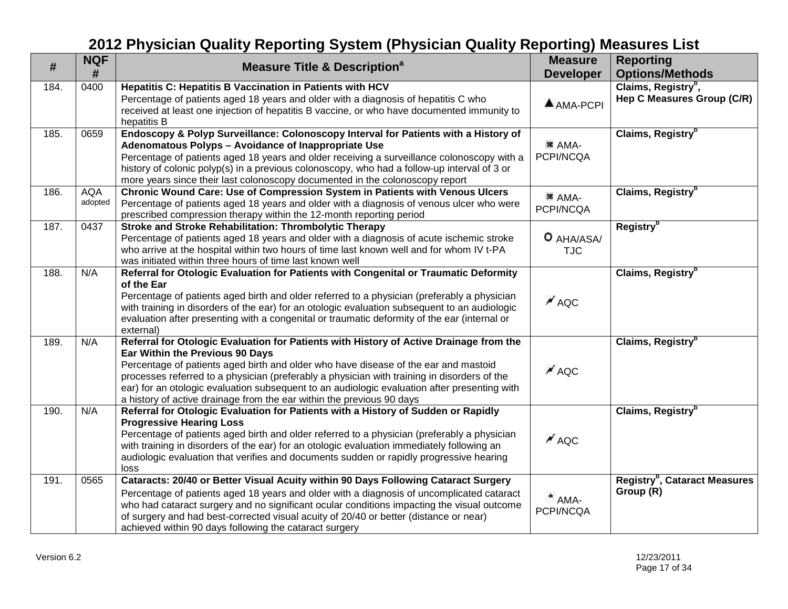| #    | <b>NQF</b><br>#       | <b>Measure Title &amp; Description<sup>a</sup></b>                                                                                                                                                                                                                                                                                                                                                                                                                                       | <b>Measure</b><br><b>Developer</b> | <b>Reporting</b><br><b>Options/Methods</b>                    |
|------|-----------------------|------------------------------------------------------------------------------------------------------------------------------------------------------------------------------------------------------------------------------------------------------------------------------------------------------------------------------------------------------------------------------------------------------------------------------------------------------------------------------------------|------------------------------------|---------------------------------------------------------------|
| 184. | 0400                  | Hepatitis C: Hepatitis B Vaccination in Patients with HCV<br>Percentage of patients aged 18 years and older with a diagnosis of hepatitis C who<br>received at least one injection of hepatitis B vaccine, or who have documented immunity to<br>hepatitis B                                                                                                                                                                                                                             | $AMA-PCPI$                         | Claims, Registry <sup>b</sup> ,<br>Hep C Measures Group (C/R) |
| 185. | 0659                  | Endoscopy & Polyp Surveillance: Colonoscopy Interval for Patients with a History of<br>Adenomatous Polyps - Avoidance of Inappropriate Use<br>Percentage of patients aged 18 years and older receiving a surveillance colonoscopy with a<br>history of colonic polyp(s) in a previous colonoscopy, who had a follow-up interval of 3 or<br>more years since their last colonoscopy documented in the colonoscopy report                                                                  | <sup>36</sup> AMA-<br>PCPI/NCQA    | Claims, Registry <sup>b</sup>                                 |
| 186. | <b>AQA</b><br>adopted | Chronic Wound Care: Use of Compression System in Patients with Venous Ulcers<br>Percentage of patients aged 18 years and older with a diagnosis of venous ulcer who were<br>prescribed compression therapy within the 12-month reporting period                                                                                                                                                                                                                                          | <sup>36</sup> AMA-<br>PCPI/NCQA    | Claims, Registry <sup>b</sup>                                 |
| 187. | 0437                  | Stroke and Stroke Rehabilitation: Thrombolytic Therapy<br>Percentage of patients aged 18 years and older with a diagnosis of acute ischemic stroke<br>who arrive at the hospital within two hours of time last known well and for whom IV t-PA<br>was initiated within three hours of time last known well                                                                                                                                                                               | O AHA/ASA/<br><b>TJC</b>           | Registry <sup>b</sup>                                         |
| 188. | N/A                   | Referral for Otologic Evaluation for Patients with Congenital or Traumatic Deformity<br>of the Ear<br>Percentage of patients aged birth and older referred to a physician (preferably a physician<br>with training in disorders of the ear) for an otologic evaluation subsequent to an audiologic<br>evaluation after presenting with a congenital or traumatic deformity of the ear (internal or<br>external)                                                                          | $\overline{M}$ AQC                 | Claims, Registry <sup>b</sup>                                 |
| 189. | N/A                   | Referral for Otologic Evaluation for Patients with History of Active Drainage from the<br>Ear Within the Previous 90 Days<br>Percentage of patients aged birth and older who have disease of the ear and mastoid<br>processes referred to a physician (preferably a physician with training in disorders of the<br>ear) for an otologic evaluation subsequent to an audiologic evaluation after presenting with<br>a history of active drainage from the ear within the previous 90 days | $^{\prime}$ AQC                    | Claims, Registry <sup>b</sup>                                 |
| 190. | N/A                   | Referral for Otologic Evaluation for Patients with a History of Sudden or Rapidly<br><b>Progressive Hearing Loss</b><br>Percentage of patients aged birth and older referred to a physician (preferably a physician<br>with training in disorders of the ear) for an otologic evaluation immediately following an<br>audiologic evaluation that verifies and documents sudden or rapidly progressive hearing<br>loss                                                                     | $\overline{M}$ AQC                 | Claims, Registry <sup>b</sup>                                 |
| 191. | 0565                  | Cataracts: 20/40 or Better Visual Acuity within 90 Days Following Cataract Surgery<br>Percentage of patients aged 18 years and older with a diagnosis of uncomplicated cataract<br>who had cataract surgery and no significant ocular conditions impacting the visual outcome<br>of surgery and had best-corrected visual acuity of 20/40 or better (distance or near)<br>achieved within 90 days following the cataract surgery                                                         | $*$ AMA-<br>PCPI/NCQA              | Registry <sup>b</sup> , Cataract Measures<br>Group (R)        |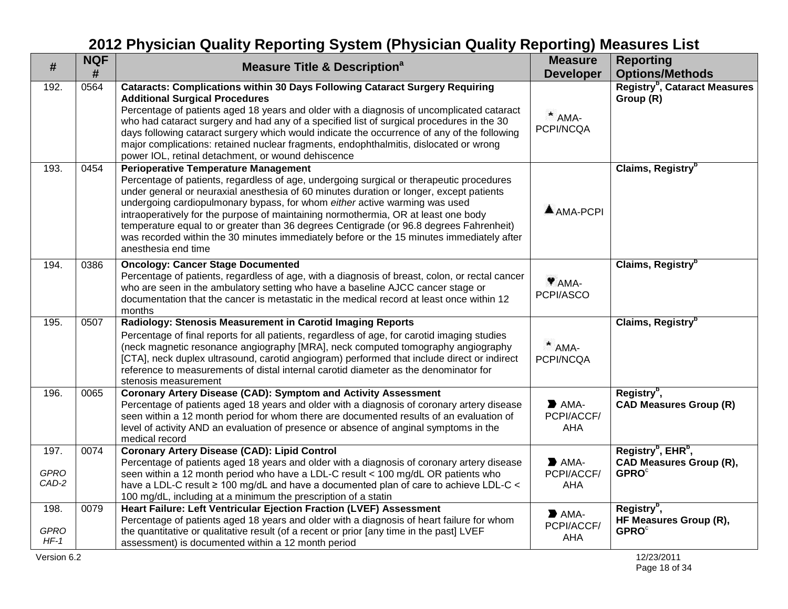| #                             | <b>NQF</b><br># | <b>Measure Title &amp; Description<sup>a</sup></b>                                                                                                                                                                                                                                                                                                                                                                                                                                                                                                                                                                    | <b>Measure</b><br><b>Developer</b>                     | <b>Reporting</b><br><b>Options/Methods</b>                                                               |
|-------------------------------|-----------------|-----------------------------------------------------------------------------------------------------------------------------------------------------------------------------------------------------------------------------------------------------------------------------------------------------------------------------------------------------------------------------------------------------------------------------------------------------------------------------------------------------------------------------------------------------------------------------------------------------------------------|--------------------------------------------------------|----------------------------------------------------------------------------------------------------------|
| 192.                          | 0564            | <b>Cataracts: Complications within 30 Days Following Cataract Surgery Requiring</b><br><b>Additional Surgical Procedures</b><br>Percentage of patients aged 18 years and older with a diagnosis of uncomplicated cataract<br>who had cataract surgery and had any of a specified list of surgical procedures in the 30<br>days following cataract surgery which would indicate the occurrence of any of the following<br>major complications: retained nuclear fragments, endophthalmitis, dislocated or wrong<br>power IOL, retinal detachment, or wound dehiscence                                                  | $*$ AMA-<br>PCPI/NCQA                                  | Registry <sup>b</sup> , Cataract Measures<br>Group (R)                                                   |
| 193.                          | 0454            | <b>Perioperative Temperature Management</b><br>Percentage of patients, regardless of age, undergoing surgical or therapeutic procedures<br>under general or neuraxial anesthesia of 60 minutes duration or longer, except patients<br>undergoing cardiopulmonary bypass, for whom either active warming was used<br>intraoperatively for the purpose of maintaining normothermia, OR at least one body<br>temperature equal to or greater than 36 degrees Centigrade (or 96.8 degrees Fahrenheit)<br>was recorded within the 30 minutes immediately before or the 15 minutes immediately after<br>anesthesia end time | $AMA-PCPI$                                             | Claims, Registry <sup>b</sup>                                                                            |
| 194.                          | 0386            | <b>Oncology: Cancer Stage Documented</b><br>Percentage of patients, regardless of age, with a diagnosis of breast, colon, or rectal cancer<br>who are seen in the ambulatory setting who have a baseline AJCC cancer stage or<br>documentation that the cancer is metastatic in the medical record at least once within 12<br>months                                                                                                                                                                                                                                                                                  | Y AMA-<br>PCPI/ASCO                                    | Claims, Registry <sup>b</sup>                                                                            |
| 195.                          | 0507            | Radiology: Stenosis Measurement in Carotid Imaging Reports<br>Percentage of final reports for all patients, regardless of age, for carotid imaging studies<br>(neck magnetic resonance angiography [MRA], neck computed tomography angiography<br>[CTA], neck duplex ultrasound, carotid angiogram) performed that include direct or indirect<br>reference to measurements of distal internal carotid diameter as the denominator for<br>stenosis measurement                                                                                                                                                         | $*$ AMA-<br>PCPI/NCQA                                  | Claims, Registry <sup>b</sup>                                                                            |
| 196.                          | 0065            | <b>Coronary Artery Disease (CAD): Symptom and Activity Assessment</b><br>Percentage of patients aged 18 years and older with a diagnosis of coronary artery disease<br>seen within a 12 month period for whom there are documented results of an evaluation of<br>level of activity AND an evaluation of presence or absence of anginal symptoms in the<br>medical record                                                                                                                                                                                                                                             | $\blacktriangleright$ AMA-<br>PCPI/ACCF/<br>AHA        | Registry <sup>b</sup> ,<br><b>CAD Measures Group (R)</b>                                                 |
| 197.<br><b>GPRO</b><br>CAD-2  | 0074            | <b>Coronary Artery Disease (CAD): Lipid Control</b><br>Percentage of patients aged 18 years and older with a diagnosis of coronary artery disease<br>seen within a 12 month period who have a LDL-C result < 100 mg/dL OR patients who<br>have a LDL-C result $\geq 100$ mg/dL and have a documented plan of care to achieve LDL-C <<br>100 mg/dL, including at a minimum the prescription of a statin                                                                                                                                                                                                                | $\blacktriangleright$ AMA-<br>PCPI/ACCF/<br><b>AHA</b> | Registry <sup>b</sup> , EHR <sup>b</sup> ,<br><b>CAD Measures Group (R),</b><br><b>GPRO</b> <sup>c</sup> |
| 198.<br><b>GPRO</b><br>$HF-1$ | 0079            | Heart Failure: Left Ventricular Ejection Fraction (LVEF) Assessment<br>Percentage of patients aged 18 years and older with a diagnosis of heart failure for whom<br>the quantitative or qualitative result (of a recent or prior [any time in the past] LVEF<br>assessment) is documented within a 12 month period                                                                                                                                                                                                                                                                                                    | $\blacktriangleright$ AMA-<br>PCPI/ACCF/<br>AHA        | Registry <sup>b</sup> ,<br>HF Measures Group (R),<br><b>GPRO</b> <sup>c</sup>                            |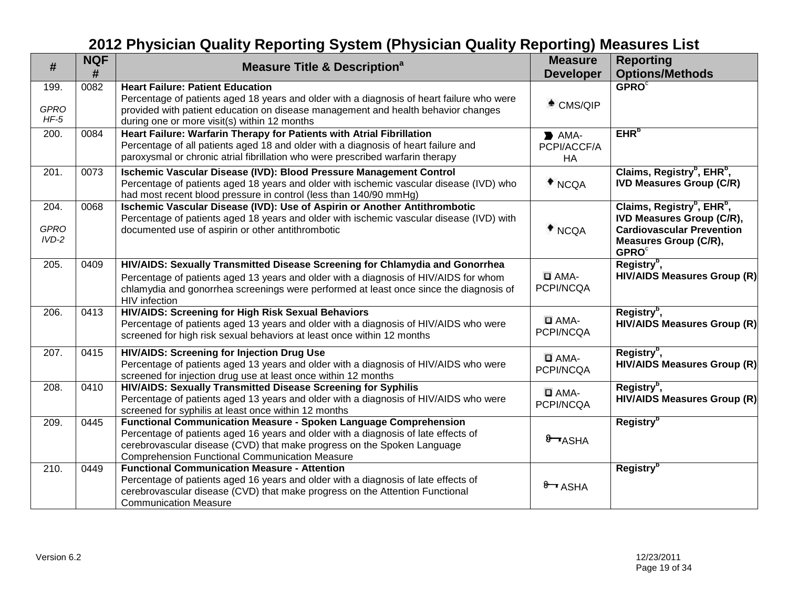| #                              | <b>NQF</b><br># | <b>Measure Title &amp; Description<sup>a</sup></b>                                                                                                                                                                                                                                                | <b>Measure</b><br><b>Developer</b>                     | <b>Reporting</b><br><b>Options/Methods</b>                                                                                                                                             |
|--------------------------------|-----------------|---------------------------------------------------------------------------------------------------------------------------------------------------------------------------------------------------------------------------------------------------------------------------------------------------|--------------------------------------------------------|----------------------------------------------------------------------------------------------------------------------------------------------------------------------------------------|
| 199.<br><b>GPRO</b><br>$HF-5$  | 0082            | <b>Heart Failure: Patient Education</b><br>Percentage of patients aged 18 years and older with a diagnosis of heart failure who were<br>provided with patient education on disease management and health behavior changes<br>during one or more visit(s) within 12 months                         | $^*$ CMS/QIP                                           | GPROC                                                                                                                                                                                  |
| 200.                           | 0084            | Heart Failure: Warfarin Therapy for Patients with Atrial Fibrillation<br>Percentage of all patients aged 18 and older with a diagnosis of heart failure and<br>paroxysmal or chronic atrial fibrillation who were prescribed warfarin therapy                                                     | $\blacktriangleright$ AMA-<br>PCPI/ACCF/A<br><b>HA</b> | EHR <sup>b</sup>                                                                                                                                                                       |
| 201.                           | 0073            | Ischemic Vascular Disease (IVD): Blood Pressure Management Control<br>Percentage of patients aged 18 years and older with ischemic vascular disease (IVD) who<br>had most recent blood pressure in control (less than 140/90 mmHg)                                                                | $*$ NCQA                                               | Claims, Registry <sup>b</sup> , EHR <sup>b</sup> ,<br><b>IVD Measures Group (C/R)</b>                                                                                                  |
| 204.<br><b>GPRO</b><br>$IVD-2$ | 0068            | Ischemic Vascular Disease (IVD): Use of Aspirin or Another Antithrombotic<br>Percentage of patients aged 18 years and older with ischemic vascular disease (IVD) with<br>documented use of aspirin or other antithrombotic                                                                        | $*$ NCQA                                               | Claims, Registry <sup>b</sup> , EHR <sup>b</sup> ,<br><b>IVD Measures Group (C/R),</b><br><b>Cardiovascular Prevention</b><br><b>Measures Group (C/R),</b><br><b>GPRO</b> <sup>c</sup> |
| 205.                           | 0409            | HIV/AIDS: Sexually Transmitted Disease Screening for Chlamydia and Gonorrhea<br>Percentage of patients aged 13 years and older with a diagnosis of HIV/AIDS for whom<br>chlamydia and gonorrhea screenings were performed at least once since the diagnosis of<br>HIV infection                   | $\Box$ AMA-<br>PCPI/NCQA                               | Registry <sup>b</sup> ,<br><b>HIV/AIDS Measures Group (R)</b>                                                                                                                          |
| 206.                           | 0413            | HIV/AIDS: Screening for High Risk Sexual Behaviors<br>Percentage of patients aged 13 years and older with a diagnosis of HIV/AIDS who were<br>screened for high risk sexual behaviors at least once within 12 months                                                                              | $\Box$ AMA-<br>PCPI/NCQA                               | Registry <sup>b</sup> ,<br><b>HIV/AIDS Measures Group (R)</b>                                                                                                                          |
| 207.                           | 0415            | <b>HIV/AIDS: Screening for Injection Drug Use</b><br>Percentage of patients aged 13 years and older with a diagnosis of HIV/AIDS who were<br>screened for injection drug use at least once within 12 months                                                                                       | $\Box$ AMA-<br>PCPI/NCQA                               | Registry <sup>b</sup> ,<br><b>HIV/AIDS Measures Group (R)</b>                                                                                                                          |
| 208.                           | 0410            | HIV/AIDS: Sexually Transmitted Disease Screening for Syphilis<br>Percentage of patients aged 13 years and older with a diagnosis of HIV/AIDS who were<br>screened for syphilis at least once within 12 months                                                                                     | $\Box$ AMA-<br>PCPI/NCQA                               | Registry <sup>b</sup> ,<br><b>HIV/AIDS Measures Group (R)</b>                                                                                                                          |
| 209.                           | 0445            | <b>Functional Communication Measure - Spoken Language Comprehension</b><br>Percentage of patients aged 16 years and older with a diagnosis of late effects of<br>cerebrovascular disease (CVD) that make progress on the Spoken Language<br><b>Comprehension Functional Communication Measure</b> | 8 ASHA                                                 | Registry <sup>b</sup>                                                                                                                                                                  |
| 210.                           | 0449            | <b>Functional Communication Measure - Attention</b><br>Percentage of patients aged 16 years and older with a diagnosis of late effects of<br>cerebrovascular disease (CVD) that make progress on the Attention Functional<br><b>Communication Measure</b>                                         | $8 - ASHA$                                             | Registry <sup>b</sup>                                                                                                                                                                  |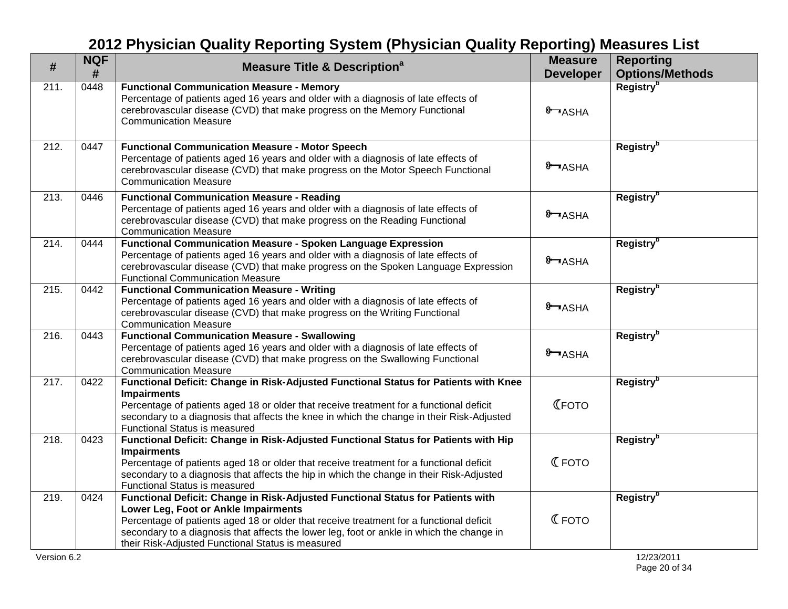| #    | <b>NQF</b><br># | <b>Measure Title &amp; Description<sup>a</sup></b>                                                                                                                                                                                                                                                                                                                   | <b>Measure</b><br><b>Developer</b> | <b>Reporting</b><br><b>Options/Methods</b> |
|------|-----------------|----------------------------------------------------------------------------------------------------------------------------------------------------------------------------------------------------------------------------------------------------------------------------------------------------------------------------------------------------------------------|------------------------------------|--------------------------------------------|
| 211. | 0448            | <b>Functional Communication Measure - Memory</b><br>Percentage of patients aged 16 years and older with a diagnosis of late effects of<br>cerebrovascular disease (CVD) that make progress on the Memory Functional<br><b>Communication Measure</b>                                                                                                                  | 8 ASHA                             | Registry <sup>b</sup>                      |
| 212. | 0447            | <b>Functional Communication Measure - Motor Speech</b><br>Percentage of patients aged 16 years and older with a diagnosis of late effects of<br>cerebrovascular disease (CVD) that make progress on the Motor Speech Functional<br><b>Communication Measure</b>                                                                                                      | 8 ASHA                             | Registry <sup>b</sup>                      |
| 213. | 0446            | <b>Functional Communication Measure - Reading</b><br>Percentage of patients aged 16 years and older with a diagnosis of late effects of<br>cerebrovascular disease (CVD) that make progress on the Reading Functional<br><b>Communication Measure</b>                                                                                                                | 8 ASHA                             | <b>Registry</b> <sup>b</sup>               |
| 214. | 0444            | <b>Functional Communication Measure - Spoken Language Expression</b><br>Percentage of patients aged 16 years and older with a diagnosis of late effects of<br>cerebrovascular disease (CVD) that make progress on the Spoken Language Expression<br><b>Functional Communication Measure</b>                                                                          | 8 ASHA                             | Registry <sup>b</sup>                      |
| 215. | 0442            | <b>Functional Communication Measure - Writing</b><br>Percentage of patients aged 16 years and older with a diagnosis of late effects of<br>cerebrovascular disease (CVD) that make progress on the Writing Functional<br><b>Communication Measure</b>                                                                                                                | 8 ASHA                             | Registry <sup>b</sup>                      |
| 216. | 0443            | <b>Functional Communication Measure - Swallowing</b><br>Percentage of patients aged 16 years and older with a diagnosis of late effects of<br>cerebrovascular disease (CVD) that make progress on the Swallowing Functional<br><b>Communication Measure</b>                                                                                                          | 8 ASHA                             | Registry <sup>b</sup>                      |
| 217. | 0422            | Functional Deficit: Change in Risk-Adjusted Functional Status for Patients with Knee<br><b>Impairments</b><br>Percentage of patients aged 18 or older that receive treatment for a functional deficit<br>secondary to a diagnosis that affects the knee in which the change in their Risk-Adjusted<br>Functional Status is measured                                  | <b>С</b> ГОТО                      | <b>Registry</b> <sup>b</sup>               |
| 218. | 0423            | Functional Deficit: Change in Risk-Adjusted Functional Status for Patients with Hip<br><b>Impairments</b><br>Percentage of patients aged 18 or older that receive treatment for a functional deficit<br>secondary to a diagnosis that affects the hip in which the change in their Risk-Adjusted<br>Functional Status is measured                                    | <b>CFOTO</b>                       | Registry <sup>b</sup>                      |
| 219. | 0424            | Functional Deficit: Change in Risk-Adjusted Functional Status for Patients with<br>Lower Leg, Foot or Ankle Impairments<br>Percentage of patients aged 18 or older that receive treatment for a functional deficit<br>secondary to a diagnosis that affects the lower leg, foot or ankle in which the change in<br>their Risk-Adjusted Functional Status is measured | <b>CFOTO</b>                       | <b>Registry</b> <sup>b</sup>               |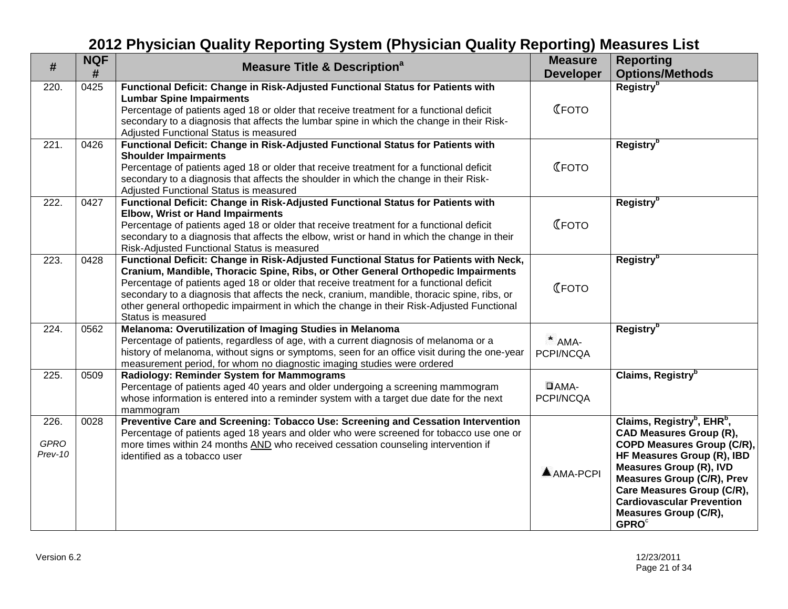| $\#$                           | <b>NQF</b><br># | <b>Measure Title &amp; Description<sup>a</sup></b>                                                                                                                                                                                                                                                                                                                                                                                                                                     | <b>Measure</b><br><b>Developer</b> | <b>Reporting</b><br><b>Options/Methods</b>                                                                                                                                                                                                                                                                                         |
|--------------------------------|-----------------|----------------------------------------------------------------------------------------------------------------------------------------------------------------------------------------------------------------------------------------------------------------------------------------------------------------------------------------------------------------------------------------------------------------------------------------------------------------------------------------|------------------------------------|------------------------------------------------------------------------------------------------------------------------------------------------------------------------------------------------------------------------------------------------------------------------------------------------------------------------------------|
| 220.                           | 0425            | Functional Deficit: Change in Risk-Adjusted Functional Status for Patients with<br><b>Lumbar Spine Impairments</b><br>Percentage of patients aged 18 or older that receive treatment for a functional deficit<br>secondary to a diagnosis that affects the lumbar spine in which the change in their Risk-<br>Adjusted Functional Status is measured                                                                                                                                   | <b>С</b> ГОТО                      | Registry <sup>b</sup>                                                                                                                                                                                                                                                                                                              |
| 221.                           | 0426            | Functional Deficit: Change in Risk-Adjusted Functional Status for Patients with<br><b>Shoulder Impairments</b><br>Percentage of patients aged 18 or older that receive treatment for a functional deficit<br>secondary to a diagnosis that affects the shoulder in which the change in their Risk-<br>Adjusted Functional Status is measured                                                                                                                                           | <b>С</b> ГОТО                      | Registry <sup>b</sup>                                                                                                                                                                                                                                                                                                              |
| 222.                           | 0427            | Functional Deficit: Change in Risk-Adjusted Functional Status for Patients with<br><b>Elbow, Wrist or Hand Impairments</b><br>Percentage of patients aged 18 or older that receive treatment for a functional deficit<br>secondary to a diagnosis that affects the elbow, wrist or hand in which the change in their<br>Risk-Adjusted Functional Status is measured                                                                                                                    | <b>С</b> ГОТО                      | Registry <sup>b</sup>                                                                                                                                                                                                                                                                                                              |
| 223.                           | 0428            | Functional Deficit: Change in Risk-Adjusted Functional Status for Patients with Neck,<br>Cranium, Mandible, Thoracic Spine, Ribs, or Other General Orthopedic Impairments<br>Percentage of patients aged 18 or older that receive treatment for a functional deficit<br>secondary to a diagnosis that affects the neck, cranium, mandible, thoracic spine, ribs, or<br>other general orthopedic impairment in which the change in their Risk-Adjusted Functional<br>Status is measured | <b>С</b> ГОТО                      | Registry <sup>b</sup>                                                                                                                                                                                                                                                                                                              |
| 224.                           | 0562            | Melanoma: Overutilization of Imaging Studies in Melanoma<br>Percentage of patients, regardless of age, with a current diagnosis of melanoma or a<br>history of melanoma, without signs or symptoms, seen for an office visit during the one-year<br>measurement period, for whom no diagnostic imaging studies were ordered                                                                                                                                                            | $*$ AMA-<br>PCPI/NCQA              | <b>Registry</b> <sup>b</sup>                                                                                                                                                                                                                                                                                                       |
| 225.                           | 0509            | Radiology: Reminder System for Mammograms<br>Percentage of patients aged 40 years and older undergoing a screening mammogram<br>whose information is entered into a reminder system with a target due date for the next<br>mammogram                                                                                                                                                                                                                                                   | $\Box$ AMA-<br>PCPI/NCQA           | Claims, Registry <sup>b</sup>                                                                                                                                                                                                                                                                                                      |
| 226.<br><b>GPRO</b><br>Prev-10 | 0028            | Preventive Care and Screening: Tobacco Use: Screening and Cessation Intervention<br>Percentage of patients aged 18 years and older who were screened for tobacco use one or<br>more times within 24 months AND who received cessation counseling intervention if<br>identified as a tobacco user                                                                                                                                                                                       | AMA-PCPI                           | Claims, Registry <sup>b</sup> , EHR <sup>b</sup> ,<br><b>CAD Measures Group (R),</b><br>COPD Measures Group (C/R),<br>HF Measures Group (R), IBD<br><b>Measures Group (R), IVD</b><br><b>Measures Group (C/R), Prev</b><br>Care Measures Group (C/R),<br><b>Cardiovascular Prevention</b><br><b>Measures Group (C/R),</b><br>GPROC |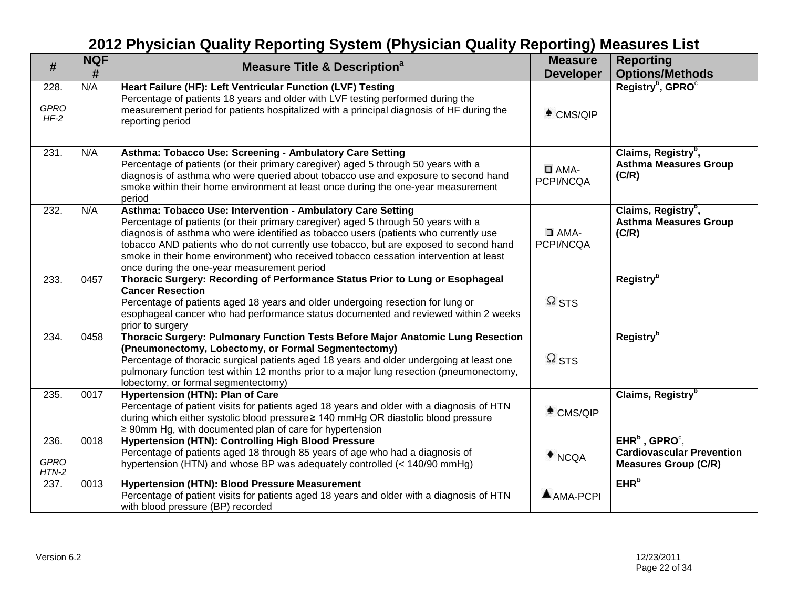| #                              | <b>NQF</b><br># | <b>Measure Title &amp; Description<sup>a</sup></b>                                                                                                                                                                                                                                                                                                                                                                                                                         | <b>Measure</b><br><b>Developer</b> | <b>Reporting</b><br><b>Options/Methods</b>                                             |
|--------------------------------|-----------------|----------------------------------------------------------------------------------------------------------------------------------------------------------------------------------------------------------------------------------------------------------------------------------------------------------------------------------------------------------------------------------------------------------------------------------------------------------------------------|------------------------------------|----------------------------------------------------------------------------------------|
| 228.<br><b>GPRO</b><br>$HF-2$  | N/A             | Heart Failure (HF): Left Ventricular Function (LVF) Testing<br>Percentage of patients 18 years and older with LVF testing performed during the<br>measurement period for patients hospitalized with a principal diagnosis of HF during the<br>reporting period                                                                                                                                                                                                             | $^*$ CMS/QIP                       | Registry <sup>b</sup> , GPRO <sup>c</sup>                                              |
| 231.                           | N/A             | Asthma: Tobacco Use: Screening - Ambulatory Care Setting<br>Percentage of patients (or their primary caregiver) aged 5 through 50 years with a<br>diagnosis of asthma who were queried about tobacco use and exposure to second hand<br>smoke within their home environment at least once during the one-year measurement<br>period                                                                                                                                        | $\Box$ AMA-<br>PCPI/NCQA           | Claims, Registry <sup>b</sup> ,<br><b>Asthma Measures Group</b><br>(C/R)               |
| 232.                           | N/A             | Asthma: Tobacco Use: Intervention - Ambulatory Care Setting<br>Percentage of patients (or their primary caregiver) aged 5 through 50 years with a<br>diagnosis of asthma who were identified as tobacco users (patients who currently use<br>tobacco AND patients who do not currently use tobacco, but are exposed to second hand<br>smoke in their home environment) who received tobacco cessation intervention at least<br>once during the one-year measurement period | $\Box$ AMA-<br>PCPI/NCQA           | Claims, Registry <sup>b</sup> ,<br><b>Asthma Measures Group</b><br>(C/R)               |
| 233.                           | 0457            | Thoracic Surgery: Recording of Performance Status Prior to Lung or Esophageal<br><b>Cancer Resection</b><br>Percentage of patients aged 18 years and older undergoing resection for lung or<br>esophageal cancer who had performance status documented and reviewed within 2 weeks<br>prior to surgery                                                                                                                                                                     | $\Omega$ STS                       | <b>Registry</b> <sup>b</sup>                                                           |
| 234.                           | 0458            | Thoracic Surgery: Pulmonary Function Tests Before Major Anatomic Lung Resection<br>(Pneumonectomy, Lobectomy, or Formal Segmentectomy)<br>Percentage of thoracic surgical patients aged 18 years and older undergoing at least one<br>pulmonary function test within 12 months prior to a major lung resection (pneumonectomy,<br>lobectomy, or formal segmentectomy)                                                                                                      | $\Omega$ STS                       | Registry <sup>b</sup>                                                                  |
| 235.                           | 0017            | Hypertension (HTN): Plan of Care<br>Percentage of patient visits for patients aged 18 years and older with a diagnosis of HTN<br>during which either systolic blood pressure ≥ 140 mmHg OR diastolic blood pressure<br>$\geq$ 90mm Hg, with documented plan of care for hypertension                                                                                                                                                                                       | $*$ CMS/QIP                        | Claims, Registry <sup>b</sup>                                                          |
| 236.<br><b>GPRO</b><br>$HTN-2$ | 0018            | <b>Hypertension (HTN): Controlling High Blood Pressure</b><br>Percentage of patients aged 18 through 85 years of age who had a diagnosis of<br>hypertension (HTN) and whose BP was adequately controlled (< 140/90 mmHg)                                                                                                                                                                                                                                                   | $*$ NCQA                           | $EHRb$ , GPRO $c$ ,<br><b>Cardiovascular Prevention</b><br><b>Measures Group (C/R)</b> |
| 237.                           | 0013            | <b>Hypertension (HTN): Blood Pressure Measurement</b><br>Percentage of patient visits for patients aged 18 years and older with a diagnosis of HTN<br>with blood pressure (BP) recorded                                                                                                                                                                                                                                                                                    | AMA-PCPI                           | EHR <sup>b</sup>                                                                       |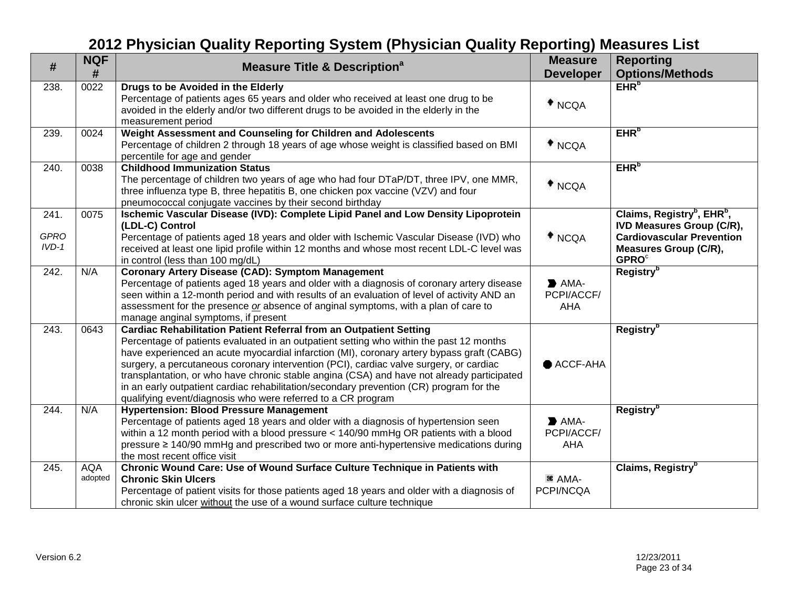| #                              | <b>NQF</b><br>#       | <b>Measure Title &amp; Description<sup>a</sup></b>                                                                                                                                                                                                                                                                                                                                                                                                                                                                                                                                                                   | <b>Measure</b><br><b>Developer</b>                     | <b>Reporting</b><br><b>Options/Methods</b>                                                                                                                                      |
|--------------------------------|-----------------------|----------------------------------------------------------------------------------------------------------------------------------------------------------------------------------------------------------------------------------------------------------------------------------------------------------------------------------------------------------------------------------------------------------------------------------------------------------------------------------------------------------------------------------------------------------------------------------------------------------------------|--------------------------------------------------------|---------------------------------------------------------------------------------------------------------------------------------------------------------------------------------|
| 238.                           | 0022                  | Drugs to be Avoided in the Elderly<br>Percentage of patients ages 65 years and older who received at least one drug to be<br>avoided in the elderly and/or two different drugs to be avoided in the elderly in the<br>measurement period                                                                                                                                                                                                                                                                                                                                                                             | $*$ NCQA                                               | EHR <sub>p</sub>                                                                                                                                                                |
| 239.                           | 0024                  | Weight Assessment and Counseling for Children and Adolescents<br>Percentage of children 2 through 18 years of age whose weight is classified based on BMI<br>percentile for age and gender                                                                                                                                                                                                                                                                                                                                                                                                                           | $*$ NCQA                                               | EHR <sub>p</sub>                                                                                                                                                                |
| 240.                           | 0038                  | <b>Childhood Immunization Status</b><br>The percentage of children two years of age who had four DTaP/DT, three IPV, one MMR,<br>three influenza type B, three hepatitis B, one chicken pox vaccine (VZV) and four<br>pneumococcal conjugate vaccines by their second birthday                                                                                                                                                                                                                                                                                                                                       | $*$ NCQA                                               | EHR <sup>b</sup>                                                                                                                                                                |
| 241.<br><b>GPRO</b><br>$IVD-1$ | 0075                  | Ischemic Vascular Disease (IVD): Complete Lipid Panel and Low Density Lipoprotein<br>(LDL-C) Control<br>Percentage of patients aged 18 years and older with Ischemic Vascular Disease (IVD) who<br>received at least one lipid profile within 12 months and whose most recent LDL-C level was<br>in control (less than 100 mg/dL)                                                                                                                                                                                                                                                                                    | $*$ NCQA                                               | Claims, Registry <sup>b</sup> , EHR <sup>b</sup> ,<br><b>IVD Measures Group (C/R),</b><br><b>Cardiovascular Prevention</b><br>Measures Group (C/R),<br><b>GPRO</b> <sup>c</sup> |
| 242.                           | N/A                   | <b>Coronary Artery Disease (CAD): Symptom Management</b><br>Percentage of patients aged 18 years and older with a diagnosis of coronary artery disease<br>seen within a 12-month period and with results of an evaluation of level of activity AND an<br>assessment for the presence or absence of anginal symptoms, with a plan of care to<br>manage anginal symptoms, if present                                                                                                                                                                                                                                   | $\blacktriangleright$ AMA-<br>PCPI/ACCF/<br>AHA        | <b>Registry</b> <sup>b</sup>                                                                                                                                                    |
| 243.                           | 0643                  | <b>Cardiac Rehabilitation Patient Referral from an Outpatient Setting</b><br>Percentage of patients evaluated in an outpatient setting who within the past 12 months<br>have experienced an acute myocardial infarction (MI), coronary artery bypass graft (CABG)<br>surgery, a percutaneous coronary intervention (PCI), cardiac valve surgery, or cardiac<br>transplantation, or who have chronic stable angina (CSA) and have not already participated<br>in an early outpatient cardiac rehabilitation/secondary prevention (CR) program for the<br>qualifying event/diagnosis who were referred to a CR program | ● ACCF-AHA                                             | Registry <sup>b</sup>                                                                                                                                                           |
| 244.                           | N/A                   | <b>Hypertension: Blood Pressure Management</b><br>Percentage of patients aged 18 years and older with a diagnosis of hypertension seen<br>within a 12 month period with a blood pressure < 140/90 mmHg OR patients with a blood<br>pressure ≥ 140/90 mmHg and prescribed two or more anti-hypertensive medications during<br>the most recent office visit                                                                                                                                                                                                                                                            | $\blacktriangleright$ AMA-<br>PCPI/ACCF/<br><b>AHA</b> | <b>Registry</b> <sup>b</sup>                                                                                                                                                    |
| 245.                           | <b>AQA</b><br>adopted | Chronic Wound Care: Use of Wound Surface Culture Technique in Patients with<br><b>Chronic Skin Ulcers</b><br>Percentage of patient visits for those patients aged 18 years and older with a diagnosis of<br>chronic skin ulcer without the use of a wound surface culture technique                                                                                                                                                                                                                                                                                                                                  | <sup>36</sup> AMA-<br>PCPI/NCQA                        | Claims, Registry <sup>b</sup>                                                                                                                                                   |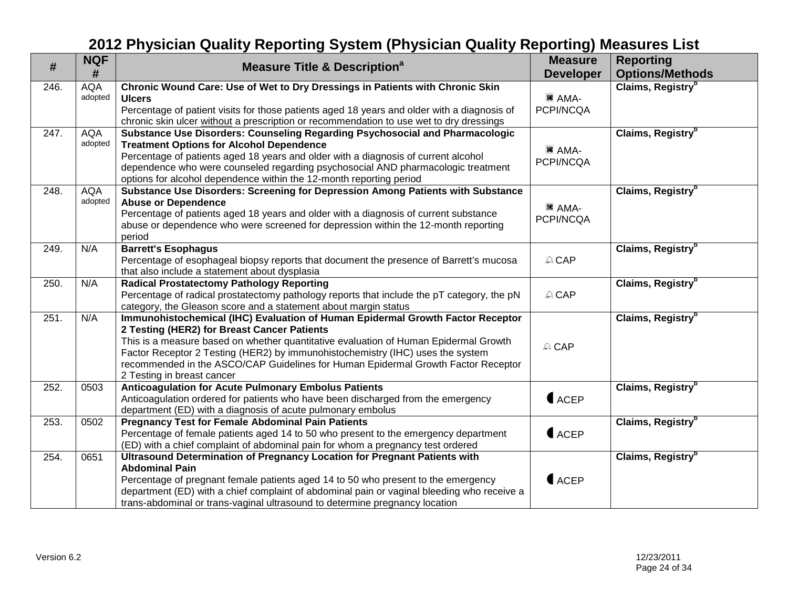| $\#$ | <b>NQF</b><br>#       | <b>Measure Title &amp; Description<sup>a</sup></b>                                                                                                                     | <b>Measure</b><br><b>Developer</b> | <b>Reporting</b><br><b>Options/Methods</b> |
|------|-----------------------|------------------------------------------------------------------------------------------------------------------------------------------------------------------------|------------------------------------|--------------------------------------------|
| 246. | <b>AQA</b>            | Chronic Wound Care: Use of Wet to Dry Dressings in Patients with Chronic Skin                                                                                          |                                    | Claims, Registry <sup>b</sup>              |
|      | adopted               | <b>Ulcers</b>                                                                                                                                                          | <sup>36</sup> AMA-                 |                                            |
|      |                       | Percentage of patient visits for those patients aged 18 years and older with a diagnosis of                                                                            | PCPI/NCQA                          |                                            |
|      |                       | chronic skin ulcer without a prescription or recommendation to use wet to dry dressings                                                                                |                                    |                                            |
| 247. | <b>AQA</b><br>adopted | Substance Use Disorders: Counseling Regarding Psychosocial and Pharmacologic<br><b>Treatment Options for Alcohol Dependence</b>                                        |                                    | Claims, Registry <sup>b</sup>              |
|      |                       | Percentage of patients aged 18 years and older with a diagnosis of current alcohol                                                                                     | <sup>36</sup> AMA-                 |                                            |
|      |                       | dependence who were counseled regarding psychosocial AND pharmacologic treatment                                                                                       | PCPI/NCQA                          |                                            |
|      |                       | options for alcohol dependence within the 12-month reporting period                                                                                                    |                                    |                                            |
| 248. | <b>AQA</b>            | Substance Use Disorders: Screening for Depression Among Patients with Substance                                                                                        |                                    | Claims, Registry <sup>b</sup>              |
|      | adopted               | <b>Abuse or Dependence</b>                                                                                                                                             |                                    |                                            |
|      |                       | Percentage of patients aged 18 years and older with a diagnosis of current substance                                                                                   | <sup>36</sup> AMA-                 |                                            |
|      |                       | abuse or dependence who were screened for depression within the 12-month reporting                                                                                     | PCPI/NCQA                          |                                            |
|      |                       | period                                                                                                                                                                 |                                    |                                            |
| 249. | N/A                   | <b>Barrett's Esophagus</b>                                                                                                                                             |                                    | Claims, Registry <sup>b</sup>              |
|      |                       | Percentage of esophageal biopsy reports that document the presence of Barrett's mucosa                                                                                 | A CAP                              |                                            |
|      |                       | that also include a statement about dysplasia                                                                                                                          |                                    |                                            |
| 250. | N/A                   | <b>Radical Prostatectomy Pathology Reporting</b>                                                                                                                       |                                    | Claims, Registry <sup>b</sup>              |
|      |                       | Percentage of radical prostatectomy pathology reports that include the pT category, the pN                                                                             | A CAP                              |                                            |
|      |                       | category, the Gleason score and a statement about margin status                                                                                                        |                                    |                                            |
| 251. | N/A                   | Immunohistochemical (IHC) Evaluation of Human Epidermal Growth Factor Receptor                                                                                         |                                    | Claims, Registry <sup>b</sup>              |
|      |                       | 2 Testing (HER2) for Breast Cancer Patients                                                                                                                            |                                    |                                            |
|      |                       | This is a measure based on whether quantitative evaluation of Human Epidermal Growth<br>Factor Receptor 2 Testing (HER2) by immunohistochemistry (IHC) uses the system | A CAP                              |                                            |
|      |                       | recommended in the ASCO/CAP Guidelines for Human Epidermal Growth Factor Receptor                                                                                      |                                    |                                            |
|      |                       | 2 Testing in breast cancer                                                                                                                                             |                                    |                                            |
| 252. | 0503                  | <b>Anticoagulation for Acute Pulmonary Embolus Patients</b>                                                                                                            |                                    | Claims, Registry <sup>b</sup>              |
|      |                       | Anticoagulation ordered for patients who have been discharged from the emergency                                                                                       | $\bigcup$ ACEP                     |                                            |
|      |                       | department (ED) with a diagnosis of acute pulmonary embolus                                                                                                            |                                    |                                            |
| 253. | 0502                  | <b>Pregnancy Test for Female Abdominal Pain Patients</b>                                                                                                               |                                    | Claims, Registry <sup>b</sup>              |
|      |                       | Percentage of female patients aged 14 to 50 who present to the emergency department                                                                                    | $\bigcup$ ACEP                     |                                            |
|      |                       | (ED) with a chief complaint of abdominal pain for whom a pregnancy test ordered                                                                                        |                                    |                                            |
| 254. | 0651                  | Ultrasound Determination of Pregnancy Location for Pregnant Patients with                                                                                              |                                    | Claims, Registry <sup>b</sup>              |
|      |                       | <b>Abdominal Pain</b><br>Percentage of pregnant female patients aged 14 to 50 who present to the emergency                                                             | $\bigcap$ ACEP                     |                                            |
|      |                       | department (ED) with a chief complaint of abdominal pain or vaginal bleeding who receive a                                                                             |                                    |                                            |
|      |                       | trans-abdominal or trans-vaginal ultrasound to determine pregnancy location                                                                                            |                                    |                                            |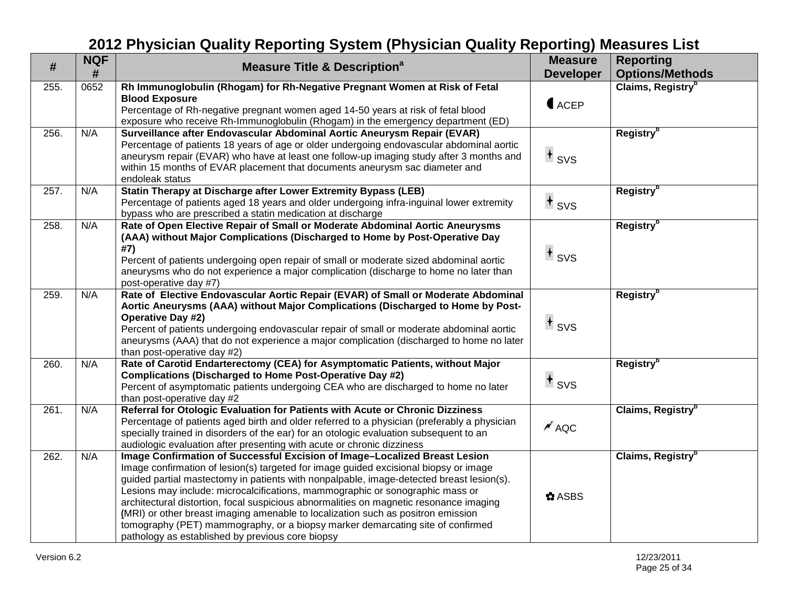| #    | <b>NQF</b><br># | <b>Measure Title &amp; Description<sup>a</sup></b>                                                                                                                                                                                                                                                                                                                                                                                                                                                                                                                                                                                                                  | <b>Measure</b><br><b>Developer</b> | <b>Reporting</b><br><b>Options/Methods</b> |
|------|-----------------|---------------------------------------------------------------------------------------------------------------------------------------------------------------------------------------------------------------------------------------------------------------------------------------------------------------------------------------------------------------------------------------------------------------------------------------------------------------------------------------------------------------------------------------------------------------------------------------------------------------------------------------------------------------------|------------------------------------|--------------------------------------------|
| 255. | 0652            | Rh Immunoglobulin (Rhogam) for Rh-Negative Pregnant Women at Risk of Fetal<br><b>Blood Exposure</b><br>Percentage of Rh-negative pregnant women aged 14-50 years at risk of fetal blood<br>exposure who receive Rh-Immunoglobulin (Rhogam) in the emergency department (ED)                                                                                                                                                                                                                                                                                                                                                                                         | $\bigcup$ ACEP                     | Claims, Registry <sup>b</sup>              |
| 256. | N/A             | Surveillance after Endovascular Abdominal Aortic Aneurysm Repair (EVAR)<br>Percentage of patients 18 years of age or older undergoing endovascular abdominal aortic<br>aneurysm repair (EVAR) who have at least one follow-up imaging study after 3 months and<br>within 15 months of EVAR placement that documents aneurysm sac diameter and<br>endoleak status                                                                                                                                                                                                                                                                                                    | $+$ svs                            | Registry <sup>b</sup>                      |
| 257. | N/A             | Statin Therapy at Discharge after Lower Extremity Bypass (LEB)<br>Percentage of patients aged 18 years and older undergoing infra-inguinal lower extremity<br>bypass who are prescribed a statin medication at discharge                                                                                                                                                                                                                                                                                                                                                                                                                                            | $+$ svs                            | Registry <sup>b</sup>                      |
| 258. | N/A             | Rate of Open Elective Repair of Small or Moderate Abdominal Aortic Aneurysms<br>(AAA) without Major Complications (Discharged to Home by Post-Operative Day<br>#7)<br>Percent of patients undergoing open repair of small or moderate sized abdominal aortic<br>aneurysms who do not experience a major complication (discharge to home no later than<br>post-operative day #7)                                                                                                                                                                                                                                                                                     | $+$ svs                            | Registry <sup>b</sup>                      |
| 259. | N/A             | Rate of Elective Endovascular Aortic Repair (EVAR) of Small or Moderate Abdominal<br>Aortic Aneurysms (AAA) without Major Complications (Discharged to Home by Post-<br>Operative Day #2)<br>Percent of patients undergoing endovascular repair of small or moderate abdominal aortic<br>aneurysms (AAA) that do not experience a major complication (discharged to home no later<br>than post-operative day #2)                                                                                                                                                                                                                                                    | $+$ svs                            | <b>Registry</b> <sup>b</sup>               |
| 260. | N/A             | Rate of Carotid Endarterectomy (CEA) for Asymptomatic Patients, without Major<br>Complications (Discharged to Home Post-Operative Day #2)<br>Percent of asymptomatic patients undergoing CEA who are discharged to home no later<br>than post-operative day #2                                                                                                                                                                                                                                                                                                                                                                                                      | $+$ svs                            | Registry <sup>b</sup>                      |
| 261. | N/A             | Referral for Otologic Evaluation for Patients with Acute or Chronic Dizziness<br>Percentage of patients aged birth and older referred to a physician (preferably a physician<br>specially trained in disorders of the ear) for an otologic evaluation subsequent to an<br>audiologic evaluation after presenting with acute or chronic dizziness                                                                                                                                                                                                                                                                                                                    | $^{\prime}$ AQC                    | Claims, Registry <sup>b</sup>              |
| 262. | N/A             | Image Confirmation of Successful Excision of Image-Localized Breast Lesion<br>Image confirmation of lesion(s) targeted for image guided excisional biopsy or image<br>guided partial mastectomy in patients with nonpalpable, image-detected breast lesion(s).<br>Lesions may include: microcalcifications, mammographic or sonographic mass or<br>architectural distortion, focal suspicious abnormalities on magnetic resonance imaging<br>(MRI) or other breast imaging amenable to localization such as positron emission<br>tomography (PET) mammography, or a biopsy marker demarcating site of confirmed<br>pathology as established by previous core biopsy | $\bigcirc$ ASBS                    | Claims, Registry <sup>b</sup>              |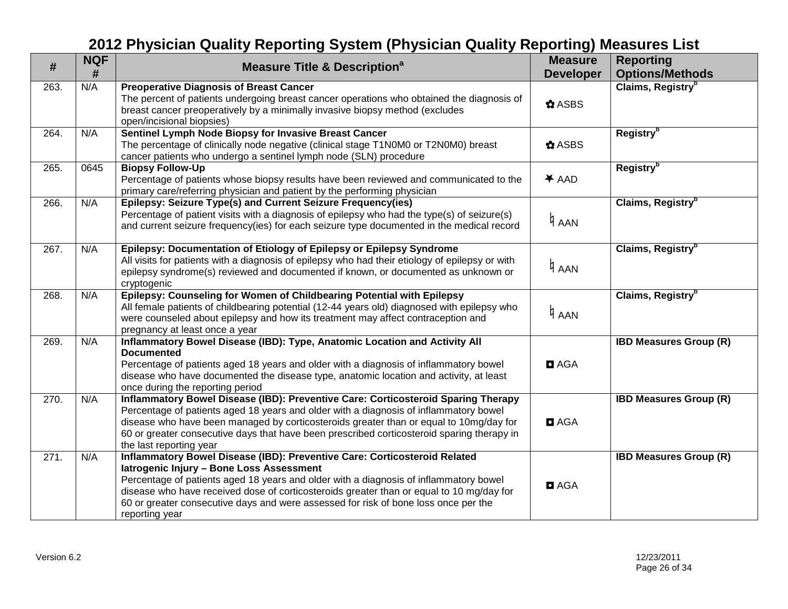| $\#$ | <b>NQF</b><br># | <b>Measure Title &amp; Description<sup>a</sup></b>                                                                                                                                                                                                                                                                                                                                                                  | <b>Measure</b><br><b>Developer</b> | <b>Reporting</b><br><b>Options/Methods</b> |
|------|-----------------|---------------------------------------------------------------------------------------------------------------------------------------------------------------------------------------------------------------------------------------------------------------------------------------------------------------------------------------------------------------------------------------------------------------------|------------------------------------|--------------------------------------------|
| 263. | N/A             | <b>Preoperative Diagnosis of Breast Cancer</b><br>The percent of patients undergoing breast cancer operations who obtained the diagnosis of<br>breast cancer preoperatively by a minimally invasive biopsy method (excludes<br>open/incisional biopsies)                                                                                                                                                            | $\bigcirc$ ASBS                    | Claims, Registry <sup>b</sup>              |
| 264. | N/A             | Sentinel Lymph Node Biopsy for Invasive Breast Cancer<br>The percentage of clinically node negative (clinical stage T1N0M0 or T2N0M0) breast<br>cancer patients who undergo a sentinel lymph node (SLN) procedure                                                                                                                                                                                                   | $\bigcirc$ ASBS                    | <b>Registry</b> <sup>b</sup>               |
| 265. | 0645            | <b>Biopsy Follow-Up</b><br>Percentage of patients whose biopsy results have been reviewed and communicated to the<br>primary care/referring physician and patient by the performing physician                                                                                                                                                                                                                       | $*$ AAD                            | Registry <sup>b</sup>                      |
| 266. | N/A             | Epilepsy: Seizure Type(s) and Current Seizure Frequency(ies)<br>Percentage of patient visits with a diagnosis of epilepsy who had the type(s) of seizure(s)<br>and current seizure frequency(ies) for each seizure type documented in the medical record                                                                                                                                                            | 4 AAN                              | Claims, Registry <sup>b</sup>              |
| 267. | N/A             | Epilepsy: Documentation of Etiology of Epilepsy or Epilepsy Syndrome<br>All visits for patients with a diagnosis of epilepsy who had their etiology of epilepsy or with<br>epilepsy syndrome(s) reviewed and documented if known, or documented as unknown or<br>cryptogenic                                                                                                                                        | 4 AAN                              | Claims, Registry <sup>b</sup>              |
| 268. | N/A             | Epilepsy: Counseling for Women of Childbearing Potential with Epilepsy<br>All female patients of childbearing potential (12-44 years old) diagnosed with epilepsy who<br>were counseled about epilepsy and how its treatment may affect contraception and<br>pregnancy at least once a year                                                                                                                         | 4 AAN                              | Claims, Registry <sup>b</sup>              |
| 269. | N/A             | Inflammatory Bowel Disease (IBD): Type, Anatomic Location and Activity All<br><b>Documented</b><br>Percentage of patients aged 18 years and older with a diagnosis of inflammatory bowel<br>disease who have documented the disease type, anatomic location and activity, at least<br>once during the reporting period                                                                                              | <b>D</b> AGA                       | <b>IBD Measures Group (R)</b>              |
| 270. | N/A             | Inflammatory Bowel Disease (IBD): Preventive Care: Corticosteroid Sparing Therapy<br>Percentage of patients aged 18 years and older with a diagnosis of inflammatory bowel<br>disease who have been managed by corticosteroids greater than or equal to 10mg/day for<br>60 or greater consecutive days that have been prescribed corticosteroid sparing therapy in<br>the last reporting year                       | <b>D</b> AGA                       | <b>IBD Measures Group (R)</b>              |
| 271. | N/A             | Inflammatory Bowel Disease (IBD): Preventive Care: Corticosteroid Related<br>latrogenic Injury - Bone Loss Assessment<br>Percentage of patients aged 18 years and older with a diagnosis of inflammatory bowel<br>disease who have received dose of corticosteroids greater than or equal to 10 mg/day for<br>60 or greater consecutive days and were assessed for risk of bone loss once per the<br>reporting year | <b>D</b> AGA                       | <b>IBD Measures Group (R)</b>              |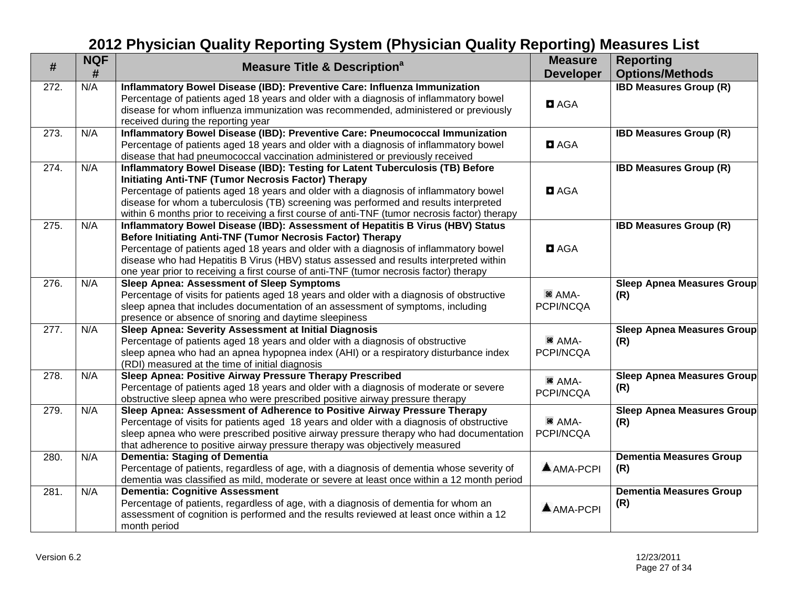| #    | <b>NQF</b> | <b>Measure Title &amp; Description<sup>a</sup></b>                                                                                                                 | <b>Measure</b>                  | <b>Reporting</b>                  |
|------|------------|--------------------------------------------------------------------------------------------------------------------------------------------------------------------|---------------------------------|-----------------------------------|
|      | #          |                                                                                                                                                                    | <b>Developer</b>                | <b>Options/Methods</b>            |
| 272. | N/A        | Inflammatory Bowel Disease (IBD): Preventive Care: Influenza Immunization<br>Percentage of patients aged 18 years and older with a diagnosis of inflammatory bowel |                                 | <b>IBD Measures Group (R)</b>     |
|      |            | disease for whom influenza immunization was recommended, administered or previously                                                                                | <b>D</b> AGA                    |                                   |
|      |            | received during the reporting year                                                                                                                                 |                                 |                                   |
| 273. | N/A        | Inflammatory Bowel Disease (IBD): Preventive Care: Pneumococcal Immunization                                                                                       |                                 | <b>IBD Measures Group (R)</b>     |
|      |            | Percentage of patients aged 18 years and older with a diagnosis of inflammatory bowel                                                                              | <b>D</b> AGA                    |                                   |
|      |            | disease that had pneumococcal vaccination administered or previously received                                                                                      |                                 |                                   |
| 274. | N/A        | Inflammatory Bowel Disease (IBD): Testing for Latent Tuberculosis (TB) Before                                                                                      |                                 | <b>IBD Measures Group (R)</b>     |
|      |            | <b>Initiating Anti-TNF (Tumor Necrosis Factor) Therapy</b>                                                                                                         |                                 |                                   |
|      |            | Percentage of patients aged 18 years and older with a diagnosis of inflammatory bowel                                                                              | <b>D</b> AGA                    |                                   |
|      |            | disease for whom a tuberculosis (TB) screening was performed and results interpreted                                                                               |                                 |                                   |
|      |            | within 6 months prior to receiving a first course of anti-TNF (tumor necrosis factor) therapy                                                                      |                                 |                                   |
| 275. | N/A        | Inflammatory Bowel Disease (IBD): Assessment of Hepatitis B Virus (HBV) Status                                                                                     |                                 | <b>IBD Measures Group (R)</b>     |
|      |            | Before Initiating Anti-TNF (Tumor Necrosis Factor) Therapy                                                                                                         | <b>D</b> AGA                    |                                   |
|      |            | Percentage of patients aged 18 years and older with a diagnosis of inflammatory bowel                                                                              |                                 |                                   |
|      |            | disease who had Hepatitis B Virus (HBV) status assessed and results interpreted within                                                                             |                                 |                                   |
| 276. | N/A        | one year prior to receiving a first course of anti-TNF (tumor necrosis factor) therapy<br><b>Sleep Apnea: Assessment of Sleep Symptoms</b>                         |                                 | <b>Sleep Apnea Measures Group</b> |
|      |            | Percentage of visits for patients aged 18 years and older with a diagnosis of obstructive                                                                          | <sup>36</sup> AMA-              | (R)                               |
|      |            | sleep apnea that includes documentation of an assessment of symptoms, including                                                                                    | PCPI/NCQA                       |                                   |
|      |            | presence or absence of snoring and daytime sleepiness                                                                                                              |                                 |                                   |
| 277. | N/A        | Sleep Apnea: Severity Assessment at Initial Diagnosis                                                                                                              |                                 | <b>Sleep Apnea Measures Group</b> |
|      |            | Percentage of patients aged 18 years and older with a diagnosis of obstructive                                                                                     | <sup>36</sup> AMA-              | (R)                               |
|      |            | sleep apnea who had an apnea hypopnea index (AHI) or a respiratory disturbance index                                                                               | PCPI/NCQA                       |                                   |
|      |            | (RDI) measured at the time of initial diagnosis                                                                                                                    |                                 |                                   |
| 278. | N/A        | Sleep Apnea: Positive Airway Pressure Therapy Prescribed                                                                                                           |                                 | <b>Sleep Apnea Measures Group</b> |
|      |            | Percentage of patients aged 18 years and older with a diagnosis of moderate or severe                                                                              | <sup>36</sup> AMA-<br>PCPI/NCQA | (R)                               |
|      |            | obstructive sleep apnea who were prescribed positive airway pressure therapy                                                                                       |                                 |                                   |
| 279. | N/A        | Sleep Apnea: Assessment of Adherence to Positive Airway Pressure Therapy                                                                                           |                                 | <b>Sleep Apnea Measures Group</b> |
|      |            | Percentage of visits for patients aged 18 years and older with a diagnosis of obstructive                                                                          | <sup>36</sup> AMA-              | (R)                               |
|      |            | sleep apnea who were prescribed positive airway pressure therapy who had documentation                                                                             | PCPI/NCQA                       |                                   |
|      |            | that adherence to positive airway pressure therapy was objectively measured                                                                                        |                                 |                                   |
| 280. | N/A        | Dementia: Staging of Dementia                                                                                                                                      |                                 | <b>Dementia Measures Group</b>    |
|      |            | Percentage of patients, regardless of age, with a diagnosis of dementia whose severity of                                                                          | AMA-PCPI                        | (R)                               |
|      |            | dementia was classified as mild, moderate or severe at least once within a 12 month period                                                                         |                                 |                                   |
| 281. | N/A        | <b>Dementia: Cognitive Assessment</b>                                                                                                                              |                                 | <b>Dementia Measures Group</b>    |
|      |            | Percentage of patients, regardless of age, with a diagnosis of dementia for whom an                                                                                | <b>A</b> AMA-PCPI               | (R)                               |
|      |            | assessment of cognition is performed and the results reviewed at least once within a 12                                                                            |                                 |                                   |
|      |            | month period                                                                                                                                                       |                                 |                                   |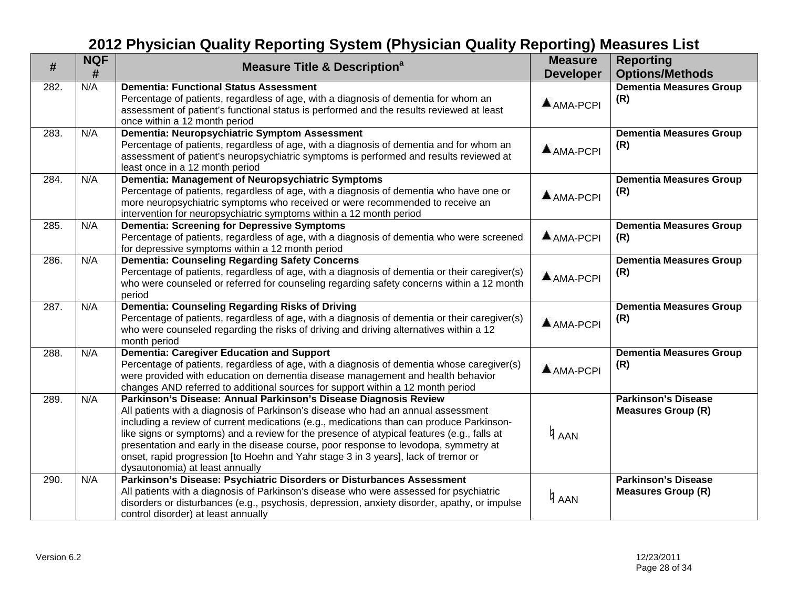| #    | <b>NQF</b> | <b>Measure Title &amp; Description<sup>a</sup></b>                                                                                                                                                                                                                                                                                                                                                                                                                                                                                                               | <b>Measure</b>   | <b>Reporting</b>                                        |
|------|------------|------------------------------------------------------------------------------------------------------------------------------------------------------------------------------------------------------------------------------------------------------------------------------------------------------------------------------------------------------------------------------------------------------------------------------------------------------------------------------------------------------------------------------------------------------------------|------------------|---------------------------------------------------------|
|      | #          |                                                                                                                                                                                                                                                                                                                                                                                                                                                                                                                                                                  | <b>Developer</b> | <b>Options/Methods</b>                                  |
| 282. | N/A        | <b>Dementia: Functional Status Assessment</b><br>Percentage of patients, regardless of age, with a diagnosis of dementia for whom an<br>assessment of patient's functional status is performed and the results reviewed at least<br>once within a 12 month period                                                                                                                                                                                                                                                                                                | $A$ AMA-PCPI     | <b>Dementia Measures Group</b><br>(R)                   |
| 283. | N/A        | Dementia: Neuropsychiatric Symptom Assessment<br>Percentage of patients, regardless of age, with a diagnosis of dementia and for whom an<br>assessment of patient's neuropsychiatric symptoms is performed and results reviewed at<br>least once in a 12 month period                                                                                                                                                                                                                                                                                            | $A$ AMA-PCPI     | <b>Dementia Measures Group</b><br>(R)                   |
| 284. | N/A        | Dementia: Management of Neuropsychiatric Symptoms<br>Percentage of patients, regardless of age, with a diagnosis of dementia who have one or<br>more neuropsychiatric symptoms who received or were recommended to receive an<br>intervention for neuropsychiatric symptoms within a 12 month period                                                                                                                                                                                                                                                             | $A$ AMA-PCPI     | Dementia Measures Group<br>(R)                          |
| 285. | N/A        | <b>Dementia: Screening for Depressive Symptoms</b><br>Percentage of patients, regardless of age, with a diagnosis of dementia who were screened<br>for depressive symptoms within a 12 month period                                                                                                                                                                                                                                                                                                                                                              | AMA-PCPI         | <b>Dementia Measures Group</b><br>(R)                   |
| 286. | N/A        | <b>Dementia: Counseling Regarding Safety Concerns</b><br>Percentage of patients, regardless of age, with a diagnosis of dementia or their caregiver(s)<br>who were counseled or referred for counseling regarding safety concerns within a 12 month<br>period                                                                                                                                                                                                                                                                                                    | $A$ AMA-PCPI     | <b>Dementia Measures Group</b><br>(R)                   |
| 287. | N/A        | Dementia: Counseling Regarding Risks of Driving<br>Percentage of patients, regardless of age, with a diagnosis of dementia or their caregiver(s)<br>who were counseled regarding the risks of driving and driving alternatives within a 12<br>month period                                                                                                                                                                                                                                                                                                       | AMA-PCPI         | <b>Dementia Measures Group</b><br>(R)                   |
| 288. | N/A        | <b>Dementia: Caregiver Education and Support</b><br>Percentage of patients, regardless of age, with a diagnosis of dementia whose caregiver(s)<br>were provided with education on dementia disease management and health behavior<br>changes AND referred to additional sources for support within a 12 month period                                                                                                                                                                                                                                             | $A$ AMA-PCPI     | <b>Dementia Measures Group</b><br>(R)                   |
| 289. | N/A        | Parkinson's Disease: Annual Parkinson's Disease Diagnosis Review<br>All patients with a diagnosis of Parkinson's disease who had an annual assessment<br>including a review of current medications (e.g., medications than can produce Parkinson-<br>like signs or symptoms) and a review for the presence of atypical features (e.g., falls at<br>presentation and early in the disease course, poor response to levodopa, symmetry at<br>onset, rapid progression [to Hoehn and Yahr stage 3 in 3 years], lack of tremor or<br>dysautonomia) at least annually | 4 AAN            | <b>Parkinson's Disease</b><br><b>Measures Group (R)</b> |
| 290. | N/A        | Parkinson's Disease: Psychiatric Disorders or Disturbances Assessment<br>All patients with a diagnosis of Parkinson's disease who were assessed for psychiatric<br>disorders or disturbances (e.g., psychosis, depression, anxiety disorder, apathy, or impulse<br>control disorder) at least annually                                                                                                                                                                                                                                                           | ∄ <sub>ААN</sub> | <b>Parkinson's Disease</b><br><b>Measures Group (R)</b> |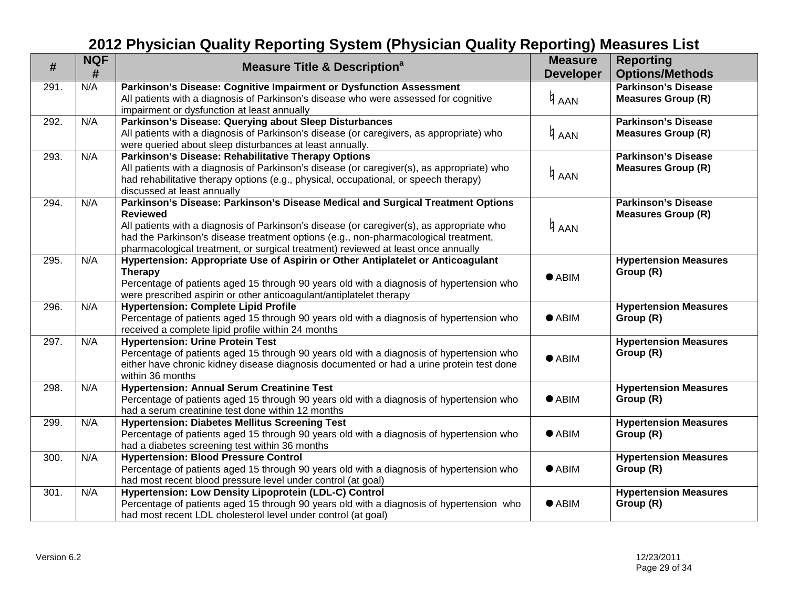| #    | <b>NQF</b><br># | <b>Measure Title &amp; Description</b> <sup>a</sup>                                                                | <b>Measure</b><br><b>Developer</b> | <b>Reporting</b><br><b>Options/Methods</b> |
|------|-----------------|--------------------------------------------------------------------------------------------------------------------|------------------------------------|--------------------------------------------|
| 291. | N/A             | Parkinson's Disease: Cognitive Impairment or Dysfunction Assessment                                                |                                    | <b>Parkinson's Disease</b>                 |
|      |                 | All patients with a diagnosis of Parkinson's disease who were assessed for cognitive                               |                                    | <b>Measures Group (R)</b>                  |
|      |                 | impairment or dysfunction at least annually                                                                        | 4 AAN                              |                                            |
| 292. | N/A             | Parkinson's Disease: Querying about Sleep Disturbances                                                             |                                    | <b>Parkinson's Disease</b>                 |
|      |                 | All patients with a diagnosis of Parkinson's disease (or caregivers, as appropriate) who                           | 4 дан                              | <b>Measures Group (R)</b>                  |
|      |                 | were queried about sleep disturbances at least annually.                                                           |                                    |                                            |
| 293. | N/A             | Parkinson's Disease: Rehabilitative Therapy Options                                                                |                                    | <b>Parkinson's Disease</b>                 |
|      |                 | All patients with a diagnosis of Parkinson's disease (or caregiver(s), as appropriate) who                         |                                    | <b>Measures Group (R)</b>                  |
|      |                 | had rehabilitative therapy options (e.g., physical, occupational, or speech therapy)                               | 4 AAN                              |                                            |
|      |                 | discussed at least annually                                                                                        |                                    |                                            |
| 294. | N/A             | Parkinson's Disease: Parkinson's Disease Medical and Surgical Treatment Options                                    |                                    | <b>Parkinson's Disease</b>                 |
|      |                 | <b>Reviewed</b>                                                                                                    |                                    | <b>Measures Group (R)</b>                  |
|      |                 | All patients with a diagnosis of Parkinson's disease (or caregiver(s), as appropriate who                          | 4 AAN                              |                                            |
|      |                 | had the Parkinson's disease treatment options (e.g., non-pharmacological treatment,                                |                                    |                                            |
|      |                 | pharmacological treatment, or surgical treatment) reviewed at least once annually                                  |                                    |                                            |
| 295. | N/A             | Hypertension: Appropriate Use of Aspirin or Other Antiplatelet or Anticoagulant                                    |                                    | <b>Hypertension Measures</b>               |
|      |                 | <b>Therapy</b>                                                                                                     | $\bullet$ ABIM                     | Group (R)                                  |
|      |                 | Percentage of patients aged 15 through 90 years old with a diagnosis of hypertension who                           |                                    |                                            |
|      | N/A             | were prescribed aspirin or other anticoagulant/antiplatelet therapy<br><b>Hypertension: Complete Lipid Profile</b> |                                    |                                            |
| 296. |                 | Percentage of patients aged 15 through 90 years old with a diagnosis of hypertension who                           | $\bullet$ ABIM                     | <b>Hypertension Measures</b><br>Group (R)  |
|      |                 | received a complete lipid profile within 24 months                                                                 |                                    |                                            |
| 297. | N/A             | <b>Hypertension: Urine Protein Test</b>                                                                            |                                    | <b>Hypertension Measures</b>               |
|      |                 | Percentage of patients aged 15 through 90 years old with a diagnosis of hypertension who                           |                                    | Group (R)                                  |
|      |                 | either have chronic kidney disease diagnosis documented or had a urine protein test done                           | $\bullet$ ABIM                     |                                            |
|      |                 | within 36 months                                                                                                   |                                    |                                            |
| 298. | N/A             | <b>Hypertension: Annual Serum Creatinine Test</b>                                                                  |                                    | <b>Hypertension Measures</b>               |
|      |                 | Percentage of patients aged 15 through 90 years old with a diagnosis of hypertension who                           | $\bullet$ ABIM                     | Group (R)                                  |
|      |                 | had a serum creatinine test done within 12 months                                                                  |                                    |                                            |
| 299. | N/A             | <b>Hypertension: Diabetes Mellitus Screening Test</b>                                                              |                                    | <b>Hypertension Measures</b>               |
|      |                 | Percentage of patients aged 15 through 90 years old with a diagnosis of hypertension who                           | $\bullet$ ABIM                     | Group (R)                                  |
|      |                 | had a diabetes screening test within 36 months                                                                     |                                    |                                            |
| 300. | N/A             | <b>Hypertension: Blood Pressure Control</b>                                                                        |                                    | <b>Hypertension Measures</b>               |
|      |                 | Percentage of patients aged 15 through 90 years old with a diagnosis of hypertension who                           | $\bullet$ ABIM                     | Group (R)                                  |
|      |                 | had most recent blood pressure level under control (at goal)                                                       |                                    |                                            |
| 301. | N/A             | Hypertension: Low Density Lipoprotein (LDL-C) Control                                                              | <b>Hypertension Measures</b>       |                                            |
|      |                 | Percentage of patients aged 15 through 90 years old with a diagnosis of hypertension who                           | $\bullet$ ABIM                     | Group (R)                                  |
|      |                 | had most recent LDL cholesterol level under control (at goal)                                                      |                                    |                                            |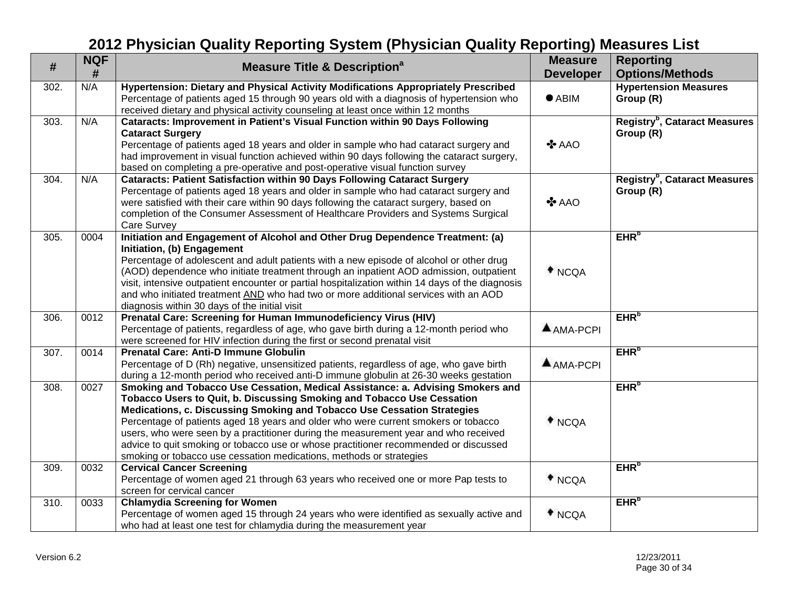| #                | <b>NQF</b><br>$\#$ | <b>Measure Title &amp; Description<sup>a</sup></b>                                                                                                                                                                                                                                                                                                                                                                                                                                                                                                                              | <b>Measure</b><br><b>Developer</b> | <b>Reporting</b><br><b>Options/Methods</b>                   |
|------------------|--------------------|---------------------------------------------------------------------------------------------------------------------------------------------------------------------------------------------------------------------------------------------------------------------------------------------------------------------------------------------------------------------------------------------------------------------------------------------------------------------------------------------------------------------------------------------------------------------------------|------------------------------------|--------------------------------------------------------------|
| 302.             | N/A                | Hypertension: Dietary and Physical Activity Modifications Appropriately Prescribed<br>Percentage of patients aged 15 through 90 years old with a diagnosis of hypertension who<br>received dietary and physical activity counseling at least once within 12 months                                                                                                                                                                                                                                                                                                              | $\bullet$ ABIM                     | <b>Hypertension Measures</b><br>Group (R)                    |
| 303.             | N/A                | Cataracts: Improvement in Patient's Visual Function within 90 Days Following<br><b>Cataract Surgery</b><br>Percentage of patients aged 18 years and older in sample who had cataract surgery and<br>had improvement in visual function achieved within 90 days following the cataract surgery,<br>based on completing a pre-operative and post-operative visual function survey                                                                                                                                                                                                 | $\clubsuit$ AAO                    | Registry <sup>b</sup> , Cataract Measures<br>Group (R)       |
| 304.             | N/A                | <b>Cataracts: Patient Satisfaction within 90 Days Following Cataract Surgery</b><br>Percentage of patients aged 18 years and older in sample who had cataract surgery and<br>were satisfied with their care within 90 days following the cataract surgery, based on<br>completion of the Consumer Assessment of Healthcare Providers and Systems Surgical<br>Care Survey                                                                                                                                                                                                        | $\clubsuit$ AAO                    | <b>Registry<sup>b</sup></b> , Cataract Measures<br>Group (R) |
| $\overline{305}$ | 0004               | Initiation and Engagement of Alcohol and Other Drug Dependence Treatment: (a)<br>Initiation, (b) Engagement<br>Percentage of adolescent and adult patients with a new episode of alcohol or other drug<br>(AOD) dependence who initiate treatment through an inpatient AOD admission, outpatient<br>visit, intensive outpatient encounter or partial hospitalization within 14 days of the diagnosis<br>and who initiated treatment AND who had two or more additional services with an AOD<br>diagnosis within 30 days of the initial visit                                    | $*_{NCQA}$                         | EHR <sup>b</sup>                                             |
| 306.             | 0012               | Prenatal Care: Screening for Human Immunodeficiency Virus (HIV)<br>Percentage of patients, regardless of age, who gave birth during a 12-month period who<br>were screened for HIV infection during the first or second prenatal visit                                                                                                                                                                                                                                                                                                                                          | $A$ AMA-PCPI                       | EHR <sup>b</sup>                                             |
| 307.             | 0014               | <b>Prenatal Care: Anti-D Immune Globulin</b><br>Percentage of D (Rh) negative, unsensitized patients, regardless of age, who gave birth<br>during a 12-month period who received anti-D immune globulin at 26-30 weeks gestation                                                                                                                                                                                                                                                                                                                                                | $A$ AMA-PCPI                       | EHR <sup>b</sup>                                             |
| 308.             | 0027               | Smoking and Tobacco Use Cessation, Medical Assistance: a. Advising Smokers and<br>Tobacco Users to Quit, b. Discussing Smoking and Tobacco Use Cessation<br>Medications, c. Discussing Smoking and Tobacco Use Cessation Strategies<br>Percentage of patients aged 18 years and older who were current smokers or tobacco<br>users, who were seen by a practitioner during the measurement year and who received<br>advice to quit smoking or tobacco use or whose practitioner recommended or discussed<br>smoking or tobacco use cessation medications, methods or strategies | $*_{NCQA}$                         | EHR <sup>b</sup>                                             |
| 309.             | 0032               | <b>Cervical Cancer Screening</b><br>Percentage of women aged 21 through 63 years who received one or more Pap tests to<br>screen for cervical cancer                                                                                                                                                                                                                                                                                                                                                                                                                            | $*$ NCQA                           | EHR <sup>b</sup>                                             |
| 310.             | 0033               | <b>Chlamydia Screening for Women</b><br>Percentage of women aged 15 through 24 years who were identified as sexually active and<br>who had at least one test for chlamydia during the measurement year                                                                                                                                                                                                                                                                                                                                                                          | $*$ NCQA                           | EHR <sup>b</sup>                                             |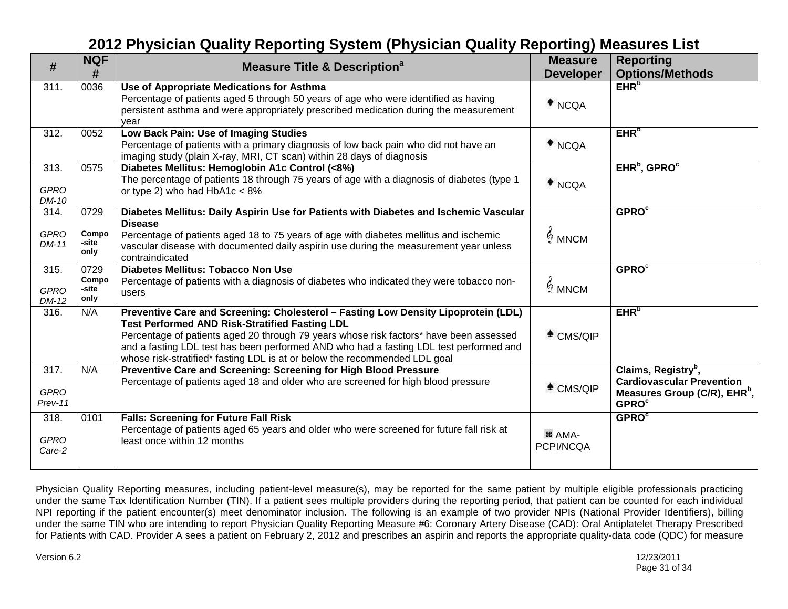| #                                | <b>NQF</b><br>#                | <b>Measure Title &amp; Description<sup>a</sup></b>                                                                                                                                                                                                                                                                                                                                                            | <b>Measure</b><br><b>Developer</b> | <b>Reporting</b><br><b>Options/Methods</b>                                                                                                  |
|----------------------------------|--------------------------------|---------------------------------------------------------------------------------------------------------------------------------------------------------------------------------------------------------------------------------------------------------------------------------------------------------------------------------------------------------------------------------------------------------------|------------------------------------|---------------------------------------------------------------------------------------------------------------------------------------------|
| 311.                             | 0036                           | Use of Appropriate Medications for Asthma<br>Percentage of patients aged 5 through 50 years of age who were identified as having<br>persistent asthma and were appropriately prescribed medication during the measurement<br>vear                                                                                                                                                                             | $*$ NCQA                           | EHR <sup>b</sup>                                                                                                                            |
| 312.                             | 0052                           | Low Back Pain: Use of Imaging Studies<br>Percentage of patients with a primary diagnosis of low back pain who did not have an<br>imaging study (plain X-ray, MRI, CT scan) within 28 days of diagnosis                                                                                                                                                                                                        | $*_{NCQA}$                         | EHR <sub>p</sub>                                                                                                                            |
| 313.<br><b>GPRO</b><br>DM-10     | 0575                           | Diabetes Mellitus: Hemoglobin A1c Control (<8%)<br>The percentage of patients 18 through 75 years of age with a diagnosis of diabetes (type 1<br>or type 2) who had $HbA1c < 8%$                                                                                                                                                                                                                              | $*_{NCQA}$                         | EHR <sup>b</sup> , GPRO <sup>c</sup>                                                                                                        |
| 314.<br><b>GPRO</b>              | 0729<br>Compo                  | Diabetes Mellitus: Daily Aspirin Use for Patients with Diabetes and Ischemic Vascular<br><b>Disease</b><br>Percentage of patients aged 18 to 75 years of age with diabetes mellitus and ischemic                                                                                                                                                                                                              | $\frac{1}{2}$ MNCM                 | <b>GPRO</b> <sup>c</sup>                                                                                                                    |
| DM-11                            | -site<br>only                  | vascular disease with documented daily aspirin use during the measurement year unless<br>contraindicated                                                                                                                                                                                                                                                                                                      |                                    |                                                                                                                                             |
| 315.<br><b>GPRO</b><br>DM-12     | 0729<br>Compo<br>-site<br>only | <b>Diabetes Mellitus: Tobacco Non Use</b><br>Percentage of patients with a diagnosis of diabetes who indicated they were tobacco non-<br>users                                                                                                                                                                                                                                                                | $\frac{2}{3}$ MNCM                 | GPROC                                                                                                                                       |
| 316.                             | N/A                            | Preventive Care and Screening: Cholesterol - Fasting Low Density Lipoprotein (LDL)<br><b>Test Performed AND Risk-Stratified Fasting LDL</b><br>Percentage of patients aged 20 through 79 years whose risk factors* have been assessed<br>and a fasting LDL test has been performed AND who had a fasting LDL test performed and<br>whose risk-stratified* fasting LDL is at or below the recommended LDL goal | $^*$ CMS/QIP                       | EHR <sup>b</sup>                                                                                                                            |
| 317.<br><b>GPRO</b><br>$Prev-11$ | N/A                            | Preventive Care and Screening: Screening for High Blood Pressure<br>Percentage of patients aged 18 and older who are screened for high blood pressure                                                                                                                                                                                                                                                         | $^*$ CMS/QIP                       | Claims, Registry <sup>b</sup> ,<br><b>Cardiovascular Prevention</b><br>Measures Group (C/R), EHR <sup>b</sup> ,<br><b>GPRO</b> <sup>c</sup> |
| 318.<br><b>GPRO</b><br>Care-2    | 0101                           | <b>Falls: Screening for Future Fall Risk</b><br>Percentage of patients aged 65 years and older who were screened for future fall risk at<br>least once within 12 months                                                                                                                                                                                                                                       | <sup>36</sup> AMA-<br>PCPI/NCQA    | <b>GPRO</b> <sup>c</sup>                                                                                                                    |

Physician Quality Reporting measures, including patient-level measure(s), may be reported for the same patient by multiple eligible professionals practicing under the same Tax Identification Number (TIN). If a patient sees multiple providers during the reporting period, that patient can be counted for each individual NPI reporting if the patient encounter(s) meet denominator inclusion. The following is an example of two provider NPIs (National Provider Identifiers), billing under the same TIN who are intending to report Physician Quality Reporting Measure #6: Coronary Artery Disease (CAD): Oral Antiplatelet Therapy Prescribed for Patients with CAD. Provider A sees a patient on February 2, 2012 and prescribes an aspirin and reports the appropriate quality-data code (QDC) for measure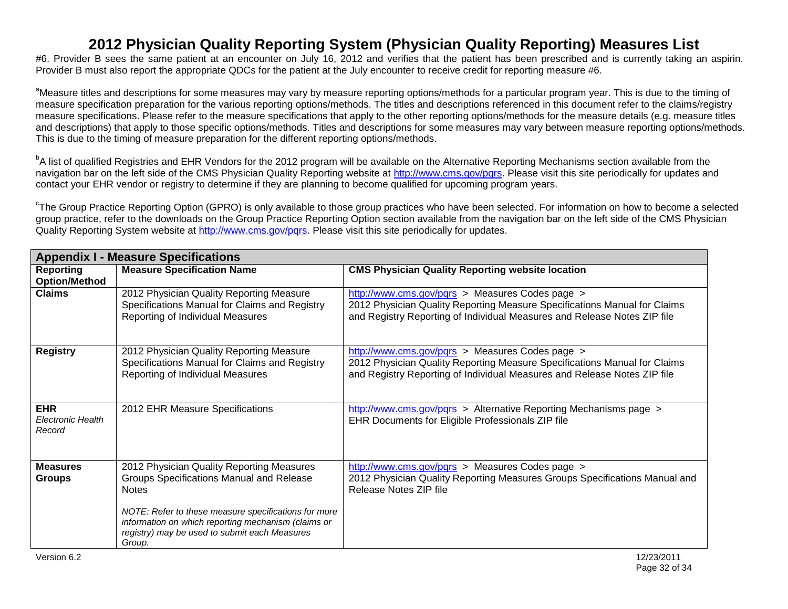#6. Provider B sees the same patient at an encounter on July 16, 2012 and verifies that the patient has been prescribed and is currently taking an aspirin. Provider B must also report the appropriate QDCs for the patient at the July encounter to receive credit for reporting measure #6.

<sup>a</sup>Measure titles and descriptions for some measures may vary by measure reporting options/methods for a particular program year. This is due to the timing of measure specification preparation for the various reporting options/methods. The titles and descriptions referenced in this document refer to the claims/registry measure specifications. Please refer to the measure specifications that apply to the other reporting options/methods for the measure details (e.g. measure titles and descriptions) that apply to those specific options/methods. Titles and descriptions for some measures may vary between measure reporting options/methods. This is due to the timing of measure preparation for the different reporting options/methods.

<sup>b</sup>A list of qualified Registries and EHR Vendors for the 2012 program will be available on the Alternative Reporting Mechanisms section available from the navigation bar on the left side of the CMS Physician Quality Reporting website at [http://www.cms.gov/pqrs.](http://www.cms.gov/PQRS) Please visit this site periodically for updates and contact your EHR vendor or registry to determine if they are planning to become qualified for upcoming program years.

<sup>c</sup>The Group Practice Reporting Option (GPRO) is only available to those group practices who have been selected. For information on how to become a selected group practice, refer to the downloads on the Group Practice Reporting Option section available from the navigation bar on the left side of the CMS Physician Quality Reporting System website at [http://www.cms.gov/pqrs.](http://www.cms.gov/pqrs) Please visit this site periodically for updates.

|                                           | <b>Appendix I - Measure Specifications</b>                                                                                                                                                                                                                                      |                                                                                                                                                                                                          |  |  |  |
|-------------------------------------------|---------------------------------------------------------------------------------------------------------------------------------------------------------------------------------------------------------------------------------------------------------------------------------|----------------------------------------------------------------------------------------------------------------------------------------------------------------------------------------------------------|--|--|--|
| <b>Reporting</b><br><b>Option/Method</b>  | <b>Measure Specification Name</b>                                                                                                                                                                                                                                               | <b>CMS Physician Quality Reporting website location</b>                                                                                                                                                  |  |  |  |
| <b>Claims</b>                             | 2012 Physician Quality Reporting Measure<br>Specifications Manual for Claims and Registry<br>Reporting of Individual Measures                                                                                                                                                   | http://www.cms.gov/pqrs > Measures Codes page ><br>2012 Physician Quality Reporting Measure Specifications Manual for Claims<br>and Registry Reporting of Individual Measures and Release Notes ZIP file |  |  |  |
| <b>Registry</b>                           | 2012 Physician Quality Reporting Measure<br>Specifications Manual for Claims and Registry<br>Reporting of Individual Measures                                                                                                                                                   | http://www.cms.gov/pqrs > Measures Codes page ><br>2012 Physician Quality Reporting Measure Specifications Manual for Claims<br>and Registry Reporting of Individual Measures and Release Notes ZIP file |  |  |  |
| <b>EHR</b><br>Electronic Health<br>Record | 2012 EHR Measure Specifications                                                                                                                                                                                                                                                 | http://www.cms.gov/pqrs > Alternative Reporting Mechanisms page ><br>EHR Documents for Eligible Professionals ZIP file                                                                                   |  |  |  |
| <b>Measures</b><br><b>Groups</b>          | 2012 Physician Quality Reporting Measures<br>Groups Specifications Manual and Release<br><b>Notes</b><br>NOTE: Refer to these measure specifications for more<br>information on which reporting mechanism (claims or<br>registry) may be used to submit each Measures<br>Group. | http://www.cms.gov/pqrs > Measures Codes page ><br>2012 Physician Quality Reporting Measures Groups Specifications Manual and<br>Release Notes ZIP file                                                  |  |  |  |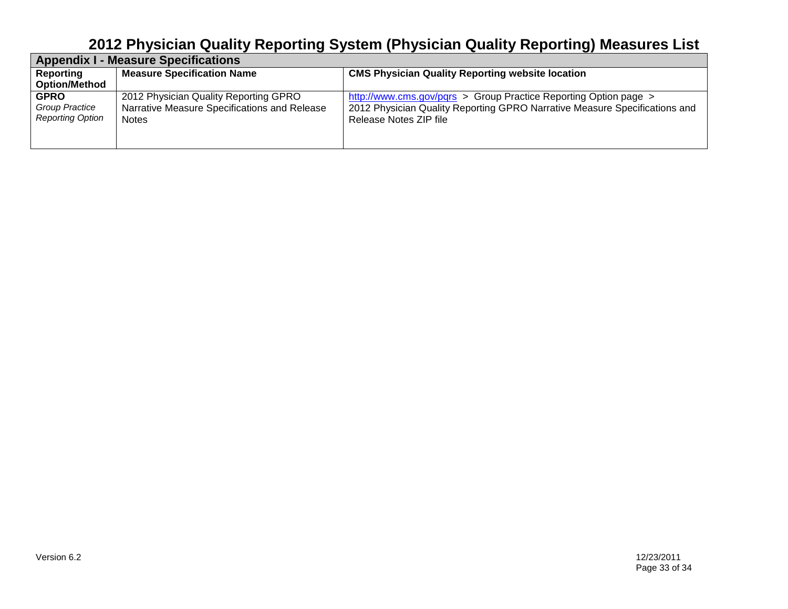| <b>Appendix I - Measure Specifications</b>               |                                                                                                |                                                                                                                                                                          |  |
|----------------------------------------------------------|------------------------------------------------------------------------------------------------|--------------------------------------------------------------------------------------------------------------------------------------------------------------------------|--|
| Reporting                                                | <b>Measure Specification Name</b>                                                              | <b>CMS Physician Quality Reporting website location</b>                                                                                                                  |  |
| <b>Option/Method</b>                                     |                                                                                                |                                                                                                                                                                          |  |
| <b>GPRO</b><br>Group Practice<br><b>Reporting Option</b> | 2012 Physician Quality Reporting GPRO<br>Narrative Measure Specifications and Release<br>Notes | http://www.cms.gov/pqrs > Group Practice Reporting Option page ><br>2012 Physician Quality Reporting GPRO Narrative Measure Specifications and<br>Release Notes ZIP file |  |